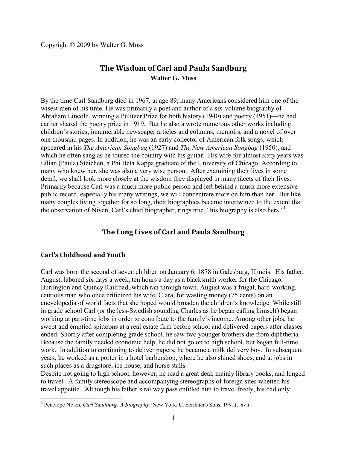# **The Wisdom of Carl and Paula Sandburg Walter G. Moss**

By the time Carl Sandburg died in 1967, at age 89, many Americans considered him one of the wisest men of his time. He was primarily a poet and author of a six-volume biography of Abraham Lincoln, winning a Pulitzer Prize for both history (1940) and poetry (1951)—he had earlier shared the poetry prize in 1919. But he also a wrote numerous other works including children's stories, innumerable newspaper articles and columns, memoirs, and a novel of over one thousand pages. In addition, he was an early collector of American folk songs, which appeared in his *The American Songbag* (1927) and *The New American Songbag* (1950), and which he often sang as he toured the country with his guitar. His wife for almost sixty years was Lilian (Paula) Steichen, a Phi Beta Kappa graduate of the University of Chicago. According to many who knew her, she was also a very wise person. After examining their lives in some detail, we shall look more closely at the wisdom they displayed in many facets of their lives. Primarily because Carl was a much more public person and left behind a much more extensive public record, especially his many writings, we will concentrate more on him than her. But like many couples living together for so long, their biographies became intertwined to the extent that the observation of Niven, Carl's chief biographer, rings true, "his biography is also hers."1

# **The Long Lives of Carl and Paula Sandburg**

## **Carl's Childhood and Youth**

 $\overline{a}$ 

Carl was born the second of seven children on January 6, 1878 in Galesburg, Illinois. His father, August, labored six days a week, ten hours a day as a blacksmith worker for the Chicago, Burlington and Quincy Railroad, which ran through town. August was a frugal, hard-working, cautious man who once criticized his wife, Clara, for wasting money (75 cents) on an encyclopedia of world facts that she hoped would broaden the children's knowledge. While still in grade school Carl (or the less-Swedish sounding Charles as he began calling himself) began working at part-time jobs in order to contribute to the family's income. Among other jobs, he swept and emptied spittoons at a real estate firm before school and delivered papers after classes ended. Shortly after completing grade school, he saw two younger brothers die from diphtheria. Because the family needed economic help, he did not go on to high school, but began full-time work. In addition to continuing to deliver papers, he became a milk delivery boy. In subsequent years, he worked as a porter in a hotel barbershop, where he also shined shoes, and at jobs in such places as a drugstore, ice house, and horse stalls.

Despite not going to high school, however, he read a great deal, mainly library books, and longed to travel. A family stereoscope and accompanying stereographs of foreign sites whetted his travel appetite. Although his father's railway pass entitled him to travel freely, his dad only

<sup>&</sup>lt;sup>1</sup> Penelope Niven, *Carl Sandburg: A Biography* (New York: C. Scribner's Sons, 1991), xvii.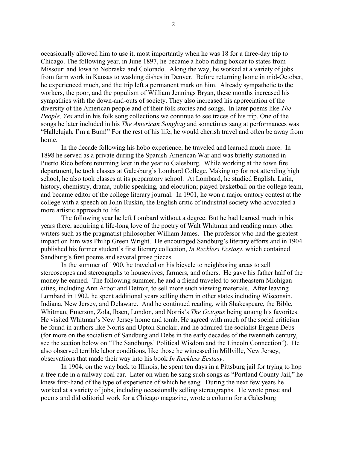occasionally allowed him to use it, most importantly when he was 18 for a three-day trip to Chicago. The following year, in June 1897, he became a hobo riding boxcar to states from Missouri and Iowa to Nebraska and Colorado. Along the way, he worked at a variety of jobs from farm work in Kansas to washing dishes in Denver. Before returning home in mid-October, he experienced much, and the trip left a permanent mark on him. Already sympathetic to the workers, the poor, and the populism of William Jennings Bryan, these months increased his sympathies with the down-and-outs of society. They also increased his appreciation of the diversity of the American people and of their folk stories and songs. In later poems like *The People, Yes* and in his folk song collections we continue to see traces of his trip. One of the songs he later included in his *The American Songbag* and sometimes sang at performances was "Hallelujah, I'm a Bum!" For the rest of his life, he would cherish travel and often be away from home.

In the decade following his hobo experience, he traveled and learned much more. In 1898 he served as a private during the Spanish-American War and was briefly stationed in Puerto Rico before returning later in the year to Galesburg. While working at the town fire department, he took classes at Galesburg's Lombard College. Making up for not attending high school, he also took classes at its preparatory school. At Lombard, he studied English, Latin, history, chemistry, drama, public speaking, and elocution; played basketball on the college team, and became editor of the college literary journal. In 1901, he won a major oratory contest at the college with a speech on John Ruskin, the English critic of industrial society who advocated a more artistic approach to life.

The following year he left Lombard without a degree. But he had learned much in his years there, acquiring a life-long love of the poetry of Walt Whitman and reading many other writers such as the pragmatist philosopher William James. The professor who had the greatest impact on him was Philip Green Wright. He encouraged Sandburg's literary efforts and in 1904 published his former student's first literary collection, *In Reckless Ecstasy*, which contained Sandburg's first poems and several prose pieces.

In the summer of 1900, he traveled on his bicycle to neighboring areas to sell stereoscopes and stereographs to housewives, farmers, and others. He gave his father half of the money he earned. The following summer, he and a friend traveled to southeastern Michigan cities, including Ann Arbor and Detroit, to sell more such viewing materials. After leaving Lombard in 1902, he spent additional years selling them in other states including Wisconsin, Indiana, New Jersey, and Delaware. And he continued reading, with Shakespeare, the Bible, Whitman, Emerson, Zola, Ibsen, London, and Norris's *The Octopus* being among his favorites. He visited Whitman's New Jersey home and tomb. He agreed with much of the social criticism he found in authors like Norris and Upton Sinclair, and he admired the socialist Eugene Debs (for more on the socialism of Sandburg and Debs in the early decades of the twentieth century, see the section below on "The Sandburgs' Political Wisdom and the Lincoln Connection"). He also observed terrible labor conditions, like those he witnessed in Millville, New Jersey, observations that made their way into his book *In Reckless Ecstasy*.

In 1904, on the way back to Illinois, he spent ten days in a Pittsburg jail for trying to hop a free ride in a railway coal car. Later on when he sang such songs as "Portland County Jail," he knew first-hand of the type of experience of which he sang. During the next few years he worked at a variety of jobs, including occasionally selling stereographs. He wrote prose and poems and did editorial work for a Chicago magazine, wrote a column for a Galesburg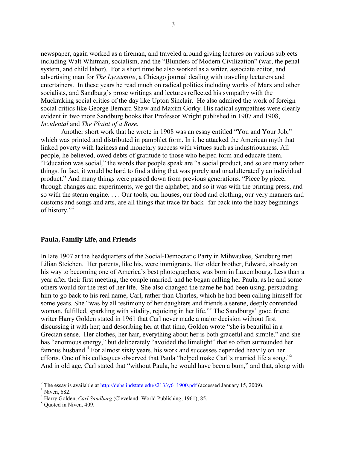newspaper, again worked as a fireman, and traveled around giving lectures on various subjects including Walt Whitman, socialism, and the "Blunders of Modern Civilization" (war, the penal system, and child labor). For a short time he also worked as a writer, associate editor, and advertising man for *The Lyceumite*, a Chicago journal dealing with traveling lecturers and entertainers. In these years he read much on radical politics including works of Marx and other socialists, and Sandburg's prose writings and lectures reflected his sympathy with the Muckraking social critics of the day like Upton Sinclair. He also admired the work of foreign social critics like George Bernard Shaw and Maxim Gorky. His radical sympathies were clearly evident in two more Sandburg books that Professor Wright published in 1907 and 1908, *Incidental* and *The Plaint of a Rose.* 

Another short work that he wrote in 1908 was an essay entitled "You and Your Job," which was printed and distributed in pamphlet form. In it he attacked the American myth that linked poverty with laziness and monetary success with virtues such as industriousness. All people, he believed, owed debts of gratitude to those who helped form and educate them. "Education was social," the words that people speak are "a social product, and so are many other things. In fact, it would be hard to find a thing that was purely and unadulteratedly an individual product." And many things were passed down from previous generations. "Piece by piece, through changes and experiments, we got the alphabet, and so it was with the printing press, and so with the steam engine. . . . Our tools, our houses, our food and clothing, our very manners and customs and songs and arts, are all things that trace far back--far back into the hazy beginnings of history."2

#### **Paula, Family Life, and Friends**

In late 1907 at the headquarters of the Social-Democratic Party in Milwaukee, Sandburg met Lilian Steichen. Her parents, like his, were immigrants. Her older brother, Edward, already on his way to becoming one of America's best photographers, was born in Luxembourg. Less than a year after their first meeting, the couple married. and he began calling her Paula, as he and some others would for the rest of her life. She also changed the name he had been using, persuading him to go back to his real name, Carl, rather than Charles, which he had been calling himself for some years. She "was by all testimony of her daughters and friends a serene, deeply contended woman, fulfilled, sparkling with vitality, rejoicing in her life."<sup>3</sup> The Sandburgs' good friend writer Harry Golden stated in 1961 that Carl never made a major decision without first discussing it with her; and describing her at that time, Golden wrote "she is beautiful in a Grecian sense. Her clothes, her hair, everything about her is both graceful and simple," and she has "enormous energy," but deliberately "avoided the limelight" that so often surrounded her famous husband.<sup>4</sup> For almost sixty years, his work and successes depended heavily on her efforts. One of his colleagues observed that Paula "helped make Carl's married life a song."<sup>5</sup> And in old age, Carl stated that "without Paula, he would have been a bum," and that, along with

<sup>&</sup>lt;sup>2</sup> The essay is available at  $\frac{http://debs/index.edu/s2133y6_1900.pdf}{http://debs/index.edu/s2133y6_1900.pdf}$  (accessed January 15, 2009).

 $3$  Niven, 682.

 $^{4}$  Harry Golden, *Carl Sandburg* (Cleveland: World Publishing, 1961), 85.

 $<sup>5</sup>$  Quoted in Niven, 409.</sup>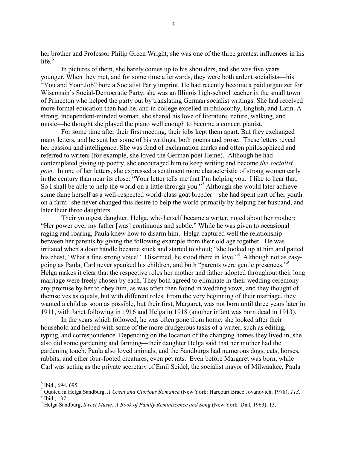her brother and Professor Philip Green Wright, she was one of the three greatest influences in his  $life.<sup>6</sup>$ 

In pictures of them, she barely comes up to his shoulders, and she was five years younger. When they met, and for some time afterwards, they were both ardent socialists—his "You and Your Job" bore a Socialist Party imprint. He had recently become a paid organizer for Wisconsin's Social-Democratic Party; she was an Illinois high-school teacher in the small town of Princeton who helped the party out by translating German socialist writings. She had received more formal education than had he, and in college excelled in philosophy, English, and Latin. A strong, independent-minded woman, she shared his love of literature, nature, walking, and music—he thought she played the piano well enough to become a concert pianist.

For some time after their first meeting, their jobs kept them apart. But they exchanged many letters, and he sent her some of his writings, both poems and prose. These letters reveal her passion and intelligence. She was fond of exclamation marks and often philosophized and referred to writers (for example, she loved the German poet Heine). Although he had contemplated giving up poetry, she encouraged him to keep writing and become *the socialist poet.* In one of her letters, she expressed a sentiment more characteristic of strong women early in the century than near its close: "Your letter tells me that I'm helping you. I like to hear that. So I shall be able to help the world on a little through you."<sup>7</sup> Although she would later achieve some fame herself as a well-respected world-class goat breeder—she had spent part of her youth on a farm--she never changed this desire to help the world primarily by helping her husband, and later their three daughters.

Their youngest daughter, Helga, who herself became a writer, noted about her mother: "Her power over my father [was] continuous and subtle." While he was given to occasional raging and roaring, Paula knew how to disarm him. Helga captured well the relationship between her parents by giving the following example from their old age together. He was irritated when a door handle became stuck and started to shout; "she looked up at him and patted his chest, 'What a fine strong voice!' Disarmed, he stood there in love."<sup>8</sup> Although not as easygoing as Paula, Carl never spanked his children, and both "parents were gentle presences."9 Helga makes it clear that the respective roles her mother and father adopted throughout their long marriage were freely chosen by each. They both agreed to eliminate in their wedding ceremony any promise by her to obey him, as was often then found in wedding vows, and they thought of themselves as equals, but with different roles. From the very beginning of their marriage, they wanted a child as soon as possible, but their first, Margaret, was not born until three years later in 1911, with Janet following in 1916 and Helga in 1918 (another infant was born dead in 1913).

In the years which followed, he was often gone from home; she looked after their household and helped with some of the more drudgerous tasks of a writer, such as editing, typing, and correspondence. Depending on the location of the changing homes they lived in, she also did some gardening and farming—their daughter Helga said that her mother had the gardening touch. Paula also loved animals, and the Sandburgs had numerous dogs, cats, horses, rabbits, and other four-footed creatures, even pet rats. Even before Margaret was born, while Carl was acting as the private secretary of Emil Seidel, the socialist mayor of Milwaukee, Paula

 $<sup>6</sup>$  Ibid., 694, 695.</sup>

<sup>7</sup> Quoted in Helga Sandburg, *A Great and Glorious Romance* (New York: Harcourt Brace Jovanovich, 1978), *113.* <sup>8</sup>  $8$  Ibid., 137.

<sup>9</sup> Helga Sandburg, *Sweet Music: A Book of Family Reminiscence and Song* (New York: Dial, 1963), 13.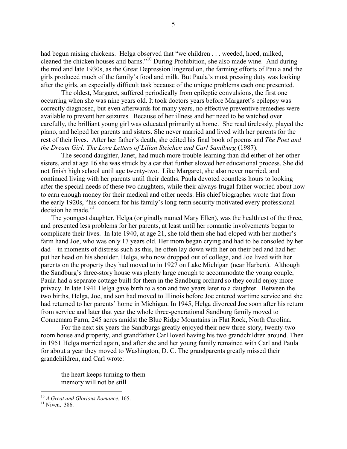had begun raising chickens. Helga observed that "we children . . . weeded, hoed, milked, cleaned the chicken houses and barns."10 During Prohibition, she also made wine. And during the mid and late 1930s, as the Great Depression lingered on, the farming efforts of Paula and the girls produced much of the family's food and milk. But Paula's most pressing duty was looking after the girls, an especially difficult task because of the unique problems each one presented.

The oldest, Margaret, suffered periodically from epileptic convulsions, the first one occurring when she was nine years old. It took doctors years before Margaret's epilepsy was correctly diagnosed, but even afterwards for many years, no effective preventive remedies were available to prevent her seizures. Because of her illness and her need to be watched over carefully, the brilliant young girl was educated primarily at home. She read tirelessly, played the piano, and helped her parents and sisters. She never married and lived with her parents for the rest of their lives. After her father's death, she edited his final book of poems and *The Poet and the Dream Girl: The Love Letters of Lilian Steichen and Carl Sandburg* (1987).

The second daughter, Janet, had much more trouble learning than did either of her other sisters, and at age 16 she was struck by a car that further slowed her educational process. She did not finish high school until age twenty-two. Like Margaret, she also never married, and continued living with her parents until their deaths. Paula devoted countless hours to looking after the special needs of these two daughters, while their always frugal father worried about how to earn enough money for their medical and other needs. His chief biographer wrote that from the early 1920s, "his concern for his family's long-term security motivated every professional decision he made." $^{11}$ 

The youngest daughter, Helga (originally named Mary Ellen), was the healthiest of the three, and presented less problems for her parents, at least until her romantic involvements began to complicate their lives. In late 1940, at age 21, she told them she had eloped with her mother's farm hand Joe, who was only 17 years old. Her mom began crying and had to be consoled by her dad—in moments of distress such as this, he often lay down with her on their bed and had her put her head on his shoulder. Helga, who now dropped out of college, and Joe lived with her parents on the property they had moved to in 1927 on Lake Michigan (near Harbert). Although the Sandburg's three-story house was plenty large enough to accommodate the young couple, Paula had a separate cottage built for them in the Sandburg orchard so they could enjoy more privacy. In late 1941 Helga gave birth to a son and two years later to a daughter. Between the two births, Helga, Joe, and son had moved to Illinois before Joe entered wartime service and she had returned to her parents' home in Michigan. In 1945, Helga divorced Joe soon after his return from service and later that year the whole three-generational Sandburg family moved to Connemara Farm, 245 acres amidst the Blue Ridge Mountains in Flat Rock, North Carolina.

For the next six years the Sandburgs greatly enjoyed their new three-story, twenty-two room house and property, and grandfather Carl loved having his two grandchildren around. Then in 1951 Helga married again, and after she and her young family remained with Carl and Paula for about a year they moved to Washington, D. C. The grandparents greatly missed their grandchildren, and Carl wrote:

the heart keeps turning to them memory will not be still

<sup>&</sup>lt;sup>10</sup> *A Great and Glorious Romance*, 165.<br><sup>11</sup> Niven, 386.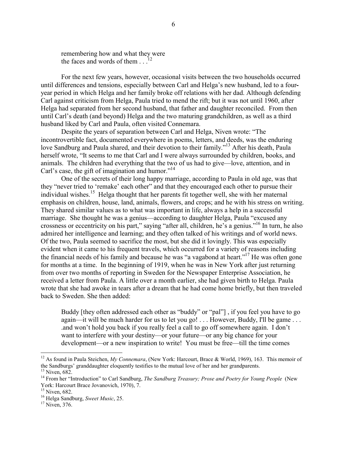remembering how and what they were the faces and words of them  $\ldots$ 

For the next few years, however, occasional visits between the two households occurred until differences and tensions, especially between Carl and Helga's new husband, led to a fouryear period in which Helga and her family broke off relations with her dad. Although defending Carl against criticism from Helga, Paula tried to mend the rift; but it was not until 1960, after Helga had separated from her second husband, that father and daughter reconciled. From then until Carl's death (and beyond) Helga and the two maturing grandchildren, as well as a third husband liked by Carl and Paula, often visited Connemara.

Despite the years of separation between Carl and Helga, Niven wrote: "The incontrovertible fact, documented everywhere in poems, letters, and deeds, was the enduring love Sandburg and Paula shared, and their devotion to their family."<sup>13</sup> After his death, Paula herself wrote, "It seems to me that Carl and I were always surrounded by children, books, and animals. The children had everything that the two of us had to give—love, attention, and in Carl's case, the gift of imagination and humor."<sup>14</sup>

One of the secrets of their long happy marriage, according to Paula in old age, was that they "never tried to 'remake' each other" and that they encouraged each other to pursue their individual wishes.15 Helga thought that her parents fit together well, she with her maternal emphasis on children, house, land, animals, flowers, and crops; and he with his stress on writing. They shared similar values as to what was important in life, always a help in a successful marriage. She thought he was a genius—according to daughter Helga, Paula "excused any crossness or eccentricity on his part," saying "after all, children, he's a genius."16 In turn, he also admired her intelligence and learning; and they often talked of his writings and of world news. Of the two, Paula seemed to sacrifice the most, but she did it lovingly. This was especially evident when it came to his frequent travels, which occurred for a variety of reasons including the financial needs of his family and because he was "a vagabond at heart."17 He was often gone for months at a time. In the beginning of 1919, when he was in New York after just returning from over two months of reporting in Sweden for the Newspaper Enterprise Association, he received a letter from Paula. A little over a month earlier, she had given birth to Helga. Paula wrote that she had awoke in tears after a dream that he had come home briefly, but then traveled back to Sweden. She then added:

Buddy [they often addressed each other as "buddy" or "pal"], if you feel you have to go again—it will be much harder for us to let you go! . . . However, Buddy, I'll be game . . . .and won't hold you back if you really feel a call to go off somewhere again. I don't want to interfere with your destiny—or your future—or any big chance for your development—or a new inspiration to write! You must be free—till the time comes

<sup>&</sup>lt;sup>12</sup> As found in Paula Steichen, *My Connemara*, (New York: Harcourt, Brace & World, 1969), 163. This memoir of the Sandburgs' granddaughter eloquently testifies to the mutual love of her and her grandparents.  $13$  Niven, 682.

<sup>14</sup> From her "Introduction" to Carl Sandburg, *The Sandburg Treasury; Prose and Poetry for Young People* (New York: Harcourt Brace Jovanovich, 1970), 7.

<sup>&</sup>lt;sup>15</sup> Niven, 682. <sup>16</sup> Helga Sandburg, *Sweet Music*, 25.<br><sup>17</sup> Niven, 376.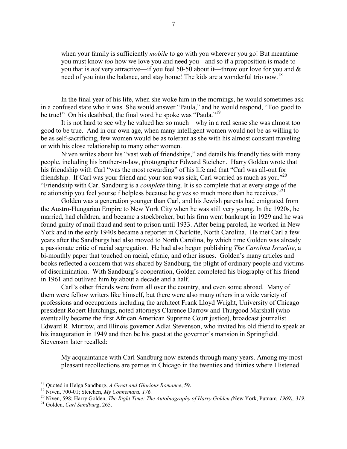when your family is sufficiently *mobile* to go with you wherever you go! But meantime you must know *too* how we love you and need you*—*and so if a proposition is made to you that is *not* very attractive—if you feel 50-50 about it—throw our love for you and & need of you into the balance, and stay home! The kids are a wonderful trio now.<sup>18</sup>

In the final year of his life, when she woke him in the mornings, he would sometimes ask in a confused state who it was. She would answer "Paula," and he would respond, "Too good to be true!" On his deathbed, the final word he spoke was "Paula."<sup>19</sup>

It is not hard to see why he valued her so much—why in a real sense she was almost too good to be true. And in our own age, when many intelligent women would not be as willing to be as self-sacrificing, few women would be as tolerant as she with his almost constant traveling or with his close relationship to many other women.

Niven writes about his "vast web of friendships," and details his friendly ties with many people, including his brother-in-law, photographer Edward Steichen. Harry Golden wrote that his friendship with Carl "was the most rewarding" of his life and that "Carl was all-out for friendship. If Carl was your friend and your son was sick, Carl worried as much as you."20 "Friendship with Carl Sandburg is a *complete* thing. It is so complete that at every stage of the relationship you feel yourself helpless because he gives so much more than he receives."

Golden was a generation younger than Carl, and his Jewish parents had emigrated from the Austro-Hungarian Empire to New York City when he was still very young. In the 1920s, he married, had children, and became a stockbroker, but his firm went bankrupt in 1929 and he was found guilty of mail fraud and sent to prison until 1933. After being paroled, he worked in New York and in the early 1940s became a reporter in Charlotte, North Carolina. He met Carl a few years after the Sandburgs had also moved to North Carolina, by which time Golden was already a passionate critic of racial segregation. He had also begun publishing *The Carolina Israelite*, a bi-monthly paper that touched on racial, ethnic, and other issues. Golden's many articles and books reflected a concern that was shared by Sandburg, the plight of ordinary people and victims of discrimination. With Sandburg's cooperation, Golden completed his biography of his friend in 1961 and outlived him by about a decade and a half.

Carl's other friends were from all over the country, and even some abroad. Many of them were fellow writers like himself, but there were also many others in a wide variety of professions and occupations including the architect Frank Lloyd Wright, University of Chicago president Robert Hutchings, noted attorneys Clarence Darrow and Thurgood Marshall (who eventually became the first African American Supreme Court justice), broadcast journalist Edward R. Murrow, and Illinois governor Adlai Stevenson, who invited his old friend to speak at his inauguration in 1949 and then be his guest at the governor's mansion in Springfield. Stevenson later recalled:

My acquaintance with Carl Sandburg now extends through many years. Among my most pleasant recollections are parties in Chicago in the twenties and thirties where I listened

<sup>&</sup>lt;sup>18</sup> Quoted in Helga Sandburg, *A Great and Glorious Romance*, 59.<br><sup>19</sup> Niven, 700-01; Steichen, *My Connemara, 176.*<br><sup>20</sup> Niven, 598; Harry Golden, *The Right Time: The Autobiography of Harry Golden (New York, Putnam, 19*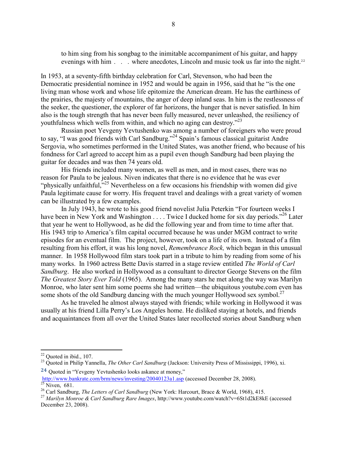to him sing from his songbag to the inimitable accompaniment of his guitar, and happy evenings with him  $\ldots$  where anecdotes. Lincoln and music took us far into the night.<sup>22</sup>

In 1953, at a seventy-fifth birthday celebration for Carl, Stevenson, who had been the Democratic presidential nominee in 1952 and would be again in 1956, said that he "is the one living man whose work and whose life epitomize the American dream. He has the earthiness of the prairies, the majesty of mountains, the anger of deep inland seas. In him is the restlessness of the seeker, the questioner, the explorer of far horizons, the hunger that is never satisfied. In him also is the tough strength that has never been fully measured, never unleashed, the resiliency of youthfulness which wells from within, and which no aging can destroy."23

Russian poet Yevgeny Yevtushenko was among a number of foreigners who were proud to say, "I was good friends with Carl Sandburg."<sup>24</sup> Spain's famous classical guitarist Andre Sergovia, who sometimes performed in the United States, was another friend, who because of his fondness for Carl agreed to accept him as a pupil even though Sandburg had been playing the guitar for decades and was then 74 years old.

His friends included many women, as well as men, and in most cases, there was no reason for Paula to be jealous. Niven indicates that there is no evidence that he was ever "physically unfaithful, $\frac{1}{2}$ " Nevertheless on a few occasions his friendship with women did give Paula legitimate cause for worry. His frequent travel and dealings with a great variety of women can be illustrated by a few examples.

In July 1943, he wrote to his good friend novelist Julia Peterkin "For fourteen weeks I have been in New York and Washington . . . . Twice I ducked home for six day periods."<sup>26</sup> Later that year he went to Hollywood, as he did the following year and from time to time after that. His 1943 trip to America's film capital occurred because he was under MGM contract to write episodes for an eventual film. The project, however, took on a life of its own. Instead of a film resulting from his effort, it was his long novel, *Remembrance Rock,* which began in this unusual manner. In 1958 Hollywood film stars took part in a tribute to him by reading from some of his many works. In 1960 actress Bette Davis starred in a stage review entitled *The World of Carl Sandburg*. He also worked in Hollywood as a consultant to director George Stevens on the film *The Greatest Story Ever Told* (1965). Among the many stars he met along the way was Marilyn Monroe, who later sent him some poems she had written—the ubiquitous youtube.com even has some shots of the old Sandburg dancing with the much younger Hollywood sex symbol.<sup>27</sup>

As he traveled he almost always stayed with friends; while working in Hollywood it was usually at his friend Lilla Perry's Los Angeles home. He disliked staying at hotels, and friends and acquaintances from all over the United States later recollected stories about Sandburg when

 $22$  Quoted in ibid., 107.

<sup>&</sup>lt;sup>23</sup> Quoted in Philip Yannella, *The Other Carl Sandburg* (Jackson: University Press of Mississippi, 1996), xi.

**<sup>24</sup>** Quoted in "Yevgeny Yevtushenko looks askance at money," http://www.bankrate.com/brm/news/investing/20040123a1.asp (accessed December 28, 2008).<br><sup>25</sup> Niven, 681.<br><sup>26</sup> Carl Sandburg, *The Letters of Carl Sandburg* (New York: Harcourt, Brace & World, 1968), 415.

<sup>&</sup>lt;sup>27</sup> Marilyn Monroe & Carl Sandburg Rare Images, http://www.youtube.com/watch?v=6St1d2kE8kE (accessed December 23, 2008).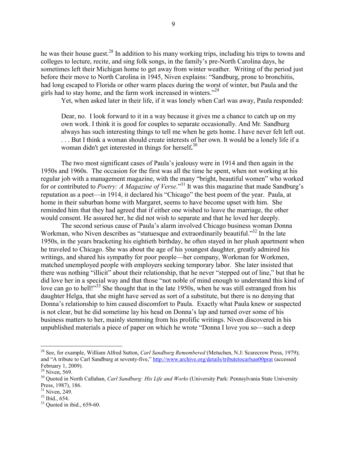he was their house guest.<sup>28</sup> In addition to his many working trips, including his trips to towns and colleges to lecture, recite, and sing folk songs, in the family's pre-North Carolina days, he sometimes left their Michigan home to get away from winter weather. Writing of the period just before their move to North Carolina in 1945, Niven explains: "Sandburg, prone to bronchitis, had long escaped to Florida or other warm places during the worst of winter, but Paula and the girls had to stay home, and the farm work increased in winters."29

Yet, when asked later in their life, if it was lonely when Carl was away, Paula responded:

Dear, no. I look forward to it in a way because it gives me a chance to catch up on my own work. I think it is good for couples to separate occasionally. And Mr*.* Sandburg always has such interesting things to tell me when he gets home. I have never felt left out. . . . But I think a woman should create interests of her own. It would be a lonely life if a woman didn't get interested in things for herself**.** 30

The two most significant cases of Paula's jealousy were in 1914 and then again in the 1950s and 1960s. The occasion for the first was all the time he spent, when not working at his regular job with a management magazine, with the many "bright, beautiful women" who worked for or contributed to *Poetry: A Magazine of Verse*."31 It was this magazine that made Sandburg's reputation as a poet—in 1914, it declared his "Chicago" the best poem of the year. Paula, at home in their suburban home with Margaret, seems to have become upset with him. She reminded him that they had agreed that if either one wished to leave the marriage, the other would consent. He assured her, he did not wish to separate and that he loved her deeply.

The second serious cause of Paula's alarm involved Chicago business woman Donna Workman, who Niven describes as "statuesque and extraordinarily beautiful."<sup>32</sup> In the late 1950s, in the years bracketing his eightieth birthday, he often stayed in her plush apartment when he traveled to Chicago. She was about the age of his youngest daughter, greatly admired his writings, and shared his sympathy for poor people—her company, Workman for Workmen, matched unemployed people with employers seeking temporary labor. She later insisted that there was nothing "illicit" about their relationship, that he never "stepped out of line," but that he did love her in a special way and that those "not noble of mind enough to understand this kind of love can go to hell!"<sup>33</sup> She thought that in the late 1950s, when he was still estranged from his daughter Helga, that she might have served as sort of a substitute, but there is no denying that Donna's relationship to him caused discomfort to Paula. Exactly what Paula knew or suspected is not clear, but he did sometime lay his head on Donna's lap and turned over some of his business matters to her, mainly stemming from his prolific writings. Niven discovered in his unpublished materials a piece of paper on which he wrote "Donna I love you so—such a deep

<sup>28</sup> See, for example, William Alfred Sutton, *Carl Sandburg Remembered* (Metuchen, N.J: Scarecrow Press, 1979); and "A tribute to Carl Sandburg at seventy-five," http://www.archive.org/details/tributetocarlsan00prat (accessed February 1, 2009).

 $29$  Niven, 569.

<sup>30</sup> Quoted in North Callahan, *Carl Sandburg: His Life and Works* (University Park: Pennsylvania State University Press, 1987), 186.

 $31$  Niven, 249.

 $32$  Ibid., 654.

 $33$  Quoted in ibid., 659-60.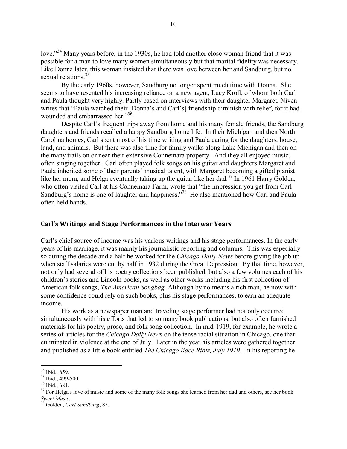love."<sup>34</sup> Many years before, in the 1930s, he had told another close woman friend that it was possible for a man to love many women simultaneously but that marital fidelity was necessary. Like Donna later, this woman insisted that there was love between her and Sandburg, but no sexual relations.<sup>35</sup>

By the early 1960s, however, Sandburg no longer spent much time with Donna. She seems to have resented his increasing reliance on a new agent, Lucy Kroll, of whom both Carl and Paula thought very highly. Partly based on interviews with their daughter Margaret, Niven writes that "Paula watched their [Donna's and Carl's] friendship diminish with relief, for it had wounded and embarrassed her."<sup>36</sup>

Despite Carl's frequent trips away from home and his many female friends, the Sandburg daughters and friends recalled a happy Sandburg home life. In their Michigan and then North Carolina homes, Carl spent most of his time writing and Paula caring for the daughters, house, land, and animals. But there was also time for family walks along Lake Michigan and then on the many trails on or near their extensive Connemara property. And they all enjoyed music, often singing together. Carl often played folk songs on his guitar and daughters Margaret and Paula inherited some of their parents' musical talent, with Margaret becoming a gifted pianist like her mom, and Helga eventually taking up the guitar like her dad.<sup>37</sup> In 1961 Harry Golden, who often visited Carl at his Connemara Farm, wrote that "the impression you get from Carl Sandburg's home is one of laughter and happiness."<sup>38</sup> He also mentioned how Carl and Paula often held hands.

#### **Carl's Writings and Stage Performances in the Interwar Years**

Carl's chief source of income was his various writings and his stage performances. In the early years of his marriage, it was mainly his journalistic reporting and columns. This was especially so during the decade and a half he worked for the *Chicago Daily News* before giving the job up when staff salaries were cut by half in 1932 during the Great Depression. By that time, however, not only had several of his poetry collections been published, but also a few volumes each of his children's stories and Lincoln books, as well as other works including his first collection of American folk songs, *The American Songbag.* Although by no means a rich man, he now with some confidence could rely on such books, plus his stage performances, to earn an adequate income.

His work as a newspaper man and traveling stage performer had not only occurred simultaneously with his efforts that led to so many book publications, but also often furnished materials for his poetry, prose, and folk song collection. In mid-1919, for example, he wrote a series of articles for the *Chicago Daily New*s on the tense racial situation in Chicago, one that culminated in violence at the end of July. Later in the year his articles were gathered together and published as a little book entitled *The Chicago Race Riots, July 1919*. In his reporting he

<u>.</u>

 $34$  Ibid., 659.

 $35$  Ibid., 499-500.

 $36$  Ibid., 681.

 $37$  For Helga's love of music and some of the many folk songs she learned from her dad and others, see her book *Sweet Music.*

<sup>38</sup> Golden, *Carl Sandburg*, 85.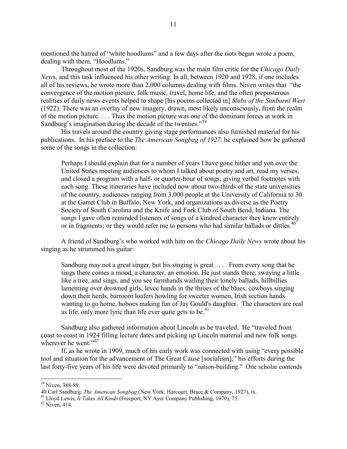mentioned the hatred of "white hoodlums" and a few days after the riots began wrote a poem, dealing with them, "Hoodlums."

Throughout most of the 1920s, Sandburg was the main film critic for the *Chicago Daily New*s, and this task influenced his other writing. In all, between 1920 and 1928, if one includes all of his reviews, he wrote more than 2,000 columns dealing with films. Niven writes that "the convergence of the motion picture, folk music, travel, home life, and the often preposterous realities of daily news events helped to shape [his poems collected in] *Slabs of the Sunburnt West*  (1922). There was an overlay of new imagery, drawn, most likely unconsciously, from the realm of the motion picture. . . . Thus the motion picture was one of the dominant forces at work in Sandburg's imagination during the decade of the twenties."<sup>39</sup>

His travels around the country giving stage performances also furnished material for his publications. In his preface to the *The American Songbag of 1927,* he explained how he gathered some of the songs in the collection:

Perhaps I should explain that for a number of years I have gone hither and yon over the United States meeting audiences to whom I talked about poetry and art, read my verses, and closed a program with a half- or quarter-hour of songs, giving verbal footnotes with each song. These itineraries have included now about two-thirds of the state universities of the country, audiences ranging from 3,000 people at the University of California to 30 at the Garret Club in Buffalo, New York, and organizations as diverse as the Poetry Society of South Carolina and the Knife and Fork Club of South Bend, Indiana. The songs I gave often reminded listeners of songs of a kindred character they knew entirely or in fragments; or they would refer me to persons who had similar ballads or ditties.<sup>40</sup>

A friend of Sandburg's who worked with him on the *Chicago Daily News* wrote about his singing as he strummed his guitar:

Sandburg may not a great singer, but his singing is great . . . . From every song that he sings there comes a mood, a character, an emotion. He just stands there, swaying a little like a tree, and sings, and you see farmhands wailing their lonely ballads, hillbillies lamenting over drowned girls, levee hands in the throes of the blues, cowboys singing down their herds, barroom loafers howling for sweeter women, Irish section hands wanting to go home, hoboes making fun of Jay Gould's daughter. The characters are real as life, only more lyric than life ever quite gets to be.<sup>41</sup>

Sandburg also gathered information about Lincoln as he traveled. He "traveled from coast to coast in 1924 filling lecture dates and picking up Lincoln material and new folk songs wherever he went."<sup>42</sup>

If, as he wrote in 1909, much of his early work was connected with using "every possible tool and situation for the advancement of The Great Cause [socialism]," his efforts during the last forty-five years of his life were devoted primarily to "nation-building." One scholar contends

<sup>&</sup>lt;sup>39</sup> Niven, 388-89.

<sup>40</sup> Carl Sandburg, *The American Songbag* (New York: Harcourt, Brace & Company, 1927), ix. 41 Lloyd Lewis, *It Takes All Kinds* (Freeport, NY Ayer Company Publishing, 1970), 75. 42 Niven, 414.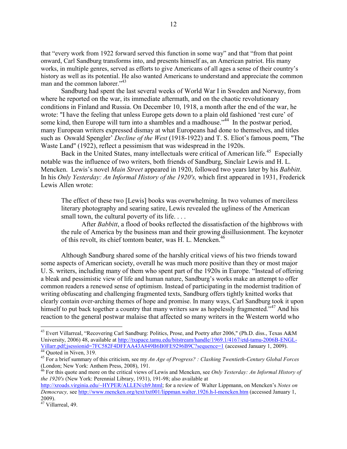that "every work from 1922 forward served this function in some way" and that "from that point onward, Carl Sandburg transforms into, and presents himself as, an American patriot. His many works, in multiple genres, served as efforts to give Americans of all ages a sense of their country's history as well as its potential. He also wanted Americans to understand and appreciate the common man and the common laborer."<sup>43</sup>

Sandburg had spent the last several weeks of World War I in Sweden and Norway, from where he reported on the war, its immediate aftermath, and on the chaotic revolutionary conditions in Finland and Russia. On December 10, 1918, a month after the end of the war, he wrote: "I have the feeling that unless Europe gets down to a plain old fashioned 'rest cure' of some kind, then Europe will turn into a shambles and a madhouse."<sup>44</sup> In the postwar period, many European writers expressed dismay at what Europeans had done to themselves, and titles such as Oswald Spengler' *Decline of the West* (1918-1922) and T. S. Eliot's famous poem, "The Waste Land" (1922), reflect a pessimism that was widespread in the 1920s.

Back in the United States, many intellectuals were critical of American life.<sup>45</sup> Especially notable was the influence of two writers, both friends of Sandburg, Sinclair Lewis and H. L. Mencken. Lewis's novel *Main Street* appeared in 1920, followed two years later by his *Babbitt*. In his *Only Yesterday: An Informal History of the 1920's,* which first appeared in 1931, Frederick Lewis Allen wrote:

The effect of these two [Lewis] books was overwhelming. In two volumes of merciless literary photography and searing satire, Lewis revealed the ugliness of the American small town, the cultural poverty of its life....

After *Babbitt*, a flood of books reflected the dissatisfaction of the highbrows with the rule of America by the business man and their growing disillusionment. The keynoter of this revolt, its chief tomtom beater, was H. L. Mencken.<sup>46</sup>

Although Sandburg shared some of the harshly critical views of his two friends toward some aspects of American society, overall he was much more positive than they or most major U. S. writers, including many of them who spent part of the 1920s in Europe. "Instead of offering a bleak and pessimistic view of life and human nature, Sandburg's works make an attempt to offer common readers a renewed sense of optimism. Instead of participating in the modernist tradition of writing obfuscating and challenging fragmented texts, Sandburg offers tightly knitted works that clearly contain over-arching themes of hope and promise. In many ways, Carl Sandburg took it upon himself to put back together a country that many writers saw as hopelessly fragmented."<sup>47</sup> And his reaction to the general postwar malaise that affected so many writers in the Western world who

<u>.</u>

<sup>&</sup>lt;sup>43</sup> Evert Villarreal, "Recovering Carl Sandburg: Politics, Prose, and Poetry after 2006," (Ph.D. diss., Texas A&M University, 2006) 48, available at http://txspace.tamu.edu/bitstream/handle/1969.1/4167/etd-tamu-2006B-ENGL-Villarr.pdf;jsessionid=7FC582F4DFFAA43A849B6B0FE9296B9C?sequence=1 (accessed January 1, 2009).

<sup>45</sup> For a brief summary of this criticism, see my *An Age of Progress? : Clashing Twentieth-Century Global Forces* (London; New York: Anthem Press, 2008), 191.

<sup>46</sup> For this quote and more on the critical views of Lewis and Mencken, see *Only Yesterday: An Informal History of the 1920's* (New York: Perennial Library, 1931), 191-98; also available at

http://xroads.virginia.edu/~HYPER/ALLEN/ch9.html; for a review of Walter Lippmann, on Mencken's *Notes on Democracy,* see http://www.mencken.org/text/txt001/lippman.walter.1926.h-l-mencken.htm (accessed January 1, 2009).

 $47$  Villarreal, 49.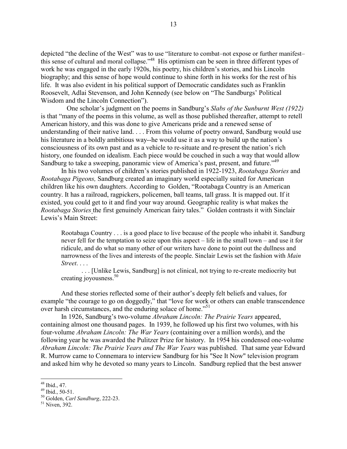depicted "the decline of the West" was to use "literature to combat–not expose or further manifest– this sense of cultural and moral collapse."48 His optimism can be seen in three different types of work he was engaged in the early 1920s, his poetry, his children's stories, and his Lincoln biography; and this sense of hope would continue to shine forth in his works for the rest of his life. It was also evident in his political support of Democratic candidates such as Franklin Roosevelt, Adlai Stevenson, and John Kennedy (see below on "The Sandburgs' Political Wisdom and the Lincoln Connection").

 One scholar's judgment on the poems in Sandburg's *Slabs of the Sunburnt West (1922)* is that "many of the poems in this volume, as well as those published thereafter, attempt to retell American history, and this was done to give Americans pride and a renewed sense of understanding of their native land. . . . From this volume of poetry onward, Sandburg would use his literature in a boldly ambitious way--he would use it as a way to build up the nation's consciousness of its own past and as a vehicle to re-situate and re-present the nation's rich history, one founded on idealism. Each piece would be couched in such a way that would allow Sandburg to take a sweeping, panoramic view of America's past, present, and future.<sup>49</sup>

In his two volumes of children's stories published in 1922-1923, *Rootabaga Stories* and *Rootabaga Pigeons,* Sandburg created an imaginary world especially suited for American children like his own daughters. According to Golden, "Rootabaga Country is an American country. It has a railroad, ragpickers, policemen, ball teams, tall grass. It is mapped out. If it existed, you could get to it and find your way around. Geographic reality is what makes the *Rootabaga Stories* the first genuinely American fairy tales." Golden contrasts it with Sinclair Lewis's Main Street:

Rootabaga Country . . . is a good place to live because of the people who inhabit it. Sandburg never fell for the temptation to seize upon this aspect – life in the small town – and use it for ridicule, and do what so many other of our writers have done to point out the dullness and narrowness of the lives and interests of the people. Sinclair Lewis set the fashion with *Main Street*. . . .

. . . [Unlike Lewis, Sandburg] is not clinical, not trying to re-create mediocrity but creating joyousness.<sup>50</sup>

And these stories reflected some of their author's deeply felt beliefs and values, for example "the courage to go on doggedly," that "love for work or others can enable transcendence over harsh circumstances, and the enduring solace of home."<sup>51</sup>

In 1926, Sandburg's two-volume *Abraham Lincoln: The Prairie Years* appeared, containing almost one thousand pages. In 1939, he followed up his first two volumes, with his four-volume *Abraham Lincoln: The War Years* (containing over a million words), and the following year he was awarded the Pulitzer Prize for history. In 1954 his condensed one-volume *Abraham Lincoln: The Prairie Years and The War Years* was published. That same year Edward R. Murrow came to Connemara to interview Sandburg for his "See It Now" television program and asked him why he devoted so many years to Lincoln. Sandburg replied that the best answer

 $48$  Ibid., 47.

 $49$  Ibid., 50-51.

<sup>&</sup>lt;sup>50</sup> Golden, *Carl Sandburg*, 222-23.<br><sup>51</sup> Niven, 392.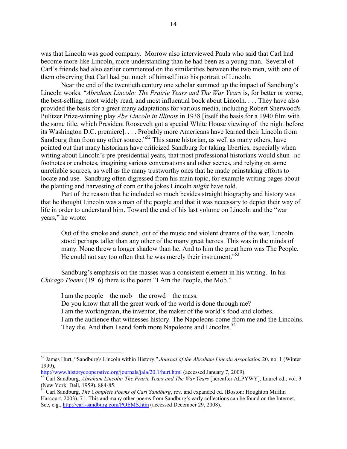was that Lincoln was good company. Morrow also interviewed Paula who said that Carl had become more like Lincoln, more understanding than he had been as a young man. Several of Carl's friends had also earlier commented on the similarities between the two men, with one of them observing that Carl had put much of himself into his portrait of Lincoln.

Near the end of the twentieth century one scholar summed up the impact of Sandburg's Lincoln works. "*Abraham Lincoln: The Prairie Years and The War Years* is, for better or worse, the best-selling, most widely read, and most influential book about Lincoln. . . . They have also provided the basis for a great many adaptations for various media, including Robert Sherwood's Pulitzer Prize-winning play *Abe Lincoln in Illinois* in 1938 [itself the basis for a 1940 film with the same title, which President Roosevelt got a special White House viewing of the night before its Washington D.C. premiere]. . . . Probably more Americans have learned their Lincoln from Sandburg than from any other source."<sup>52</sup> This same historian, as well as many others, have pointed out that many historians have criticized Sandburg for taking liberties, especially when writing about Lincoln's pre-presidential years, that most professional historians would shun--no footnotes or endnotes, imagining various conversations and other scenes, and relying on some unreliable sources, as well as the many trustworthy ones that he made painstaking efforts to locate and use. Sandburg often digressed from his main topic, for example writing pages about the planting and harvesting of corn or the jokes Lincoln *might* have told.

Part of the reason that he included so much besides straight biography and history was that he thought Lincoln was a man of the people and that it was necessary to depict their way of life in order to understand him. Toward the end of his last volume on Lincoln and the "war years," he wrote:

Out of the smoke and stench, out of the music and violent dreams of the war, Lincoln stood perhaps taller than any other of the many great heroes. This was in the minds of many. None threw a longer shadow than he. And to him the great hero was The People. He could not say too often that he was merely their instrument." $53$ 

Sandburg's emphasis on the masses was a consistent element in his writing. In his *Chicago Poems* (1916) there is the poem "I Am the People, the Mob."

I am the people—the mob—the crowd—the mass.

 $\overline{a}$ 

Do you know that all the great work of the world is done through me? I am the workingman, the inventor, the maker of the world's food and clothes. I am the audience that witnesses history. The Napoleons come from me and the Lincolns. They die. And then I send forth more Napoleons and Lincolns.<sup>54</sup>

<sup>52</sup> James Hurt, "Sandburg's Lincoln within History," *Journal of the Abraham Lincoln Association* 20, no. 1 (Winter 1999),<br>http://www.historycooperative.org/journals/jala/20.1/hurt.html (accessed January 7, 2009).

<sup>&</sup>lt;sup>53</sup> Carl Sandburg, *Abraham Lincoln: The Prarie Years and The War Years* [hereafter ALPYWY], Laurel ed., vol. 3 (New York: Dell, 1959), 884-85.

<sup>54</sup> Carl Sandburg, *The Complete Poems of Carl Sandburg*, rev. and expanded ed. (Boston: Houghton Mifflin Harcourt, 2003), 71. This and many other poems from Sandburg's early collections can be found on the Internet. See, e.g., http://carl-sandburg.com/POEMS.htm (accessed December 29, 2008).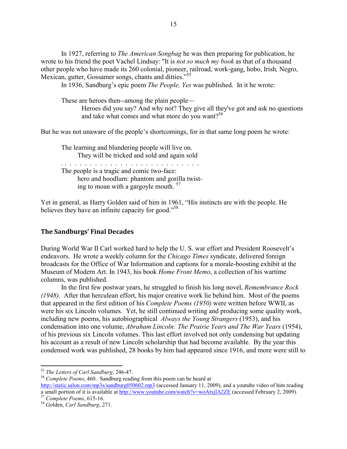In 1927, referring to *The American Songbag* he was then preparing for publication, he wrote to his friend the poet Vachel Lindsay: "It is *not so much my book* as that of a thousand other people who have made its 260 colonial, pioneer, railroad, work-gang, hobo, Irish*,* Negro, Mexican, gutter, Gossamer songs, chants and ditties."<sup>55</sup>

In 1936, Sandburg's epic poem *The People, Yes* was published. In it he wrote:

These are heroes then--among the plain people—

Heroes did you say? And why not? They give all they've got and ask no questions and take what comes and what more do you want?<sup>56</sup>

But he was not unaware of the people's shortcomings, for in that same long poem he wrote:

The learning and blundering people will live on. They will be tricked and sold and again sold The people is a tragic and comic two-face: hero and hoodlum: phantom and gorilla twisting to moan with a gargoyle mouth.<sup>57</sup>

Yet in general, as Harry Golden said of him in 1961, "His instincts are with the people. He believes they have an infinite capacity for good."<sup>58</sup>

### **The Sandburgs' Final Decades**

During World War II Carl worked hard to help the U. S. war effort and President Roosevelt's endeavors. He wrote a weekly column for the *Chicago Times* syndicate, delivered foreign broadcasts for the Office of War Information and captions for a morale-boosting exhibit at the Museum of Modern Art. In 1943, his book *Home Front Memo*, a collection of his wartime columns, was published.

In the first few postwar years, he struggled to finish his long novel, *Remembrance Rock (1948)*. After that herculean effort, his major creative work lie behind him. Most of the poems that appeared in the first edition of his *Complete Poems (1950)* were written before WWII, as were his six Lincoln volumes. Yet, he still continued writing and producing some quality work, including new poems, his autobiographical *Always the Young Strangers* (1953), and his condensation into one volume, *Abraham Lincoln: The Prairie Years and The War Years* (1954), of his previous six Lincoln volumes. This last effort involved not only condensing but updating his account as a result of new Lincoln scholarship that had become available. By the year this condensed work was published, 28 books by him had appeared since 1916, and more were still to

<sup>&</sup>lt;sup>55</sup> The Letters of Carl Sandburg, 246-47.

<sup>&</sup>lt;sup>56</sup> Complete Poems, 460. Sandburg reading from this poem can be heard at http://static.salon.com/mp3s/sandburg050602.mp3 (accessed January 11, 2009), and a youtube video of him reading

a small portion of it is available at <u>http://www.youtube.com/watch?v=woAtxjlA2ZE</u> (accessed February 2, 2009).<br><sup>57</sup> *Complete Poems*, 615-16.<br><sup>58</sup> Golden, *Carl Sandburg*, 271.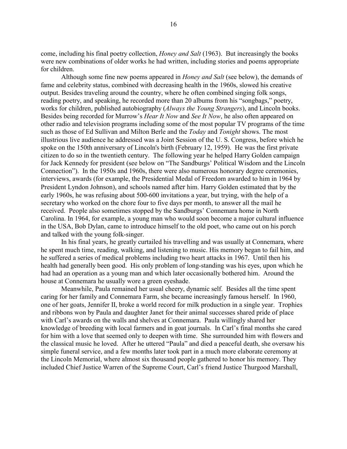come, including his final poetry collection, *Honey and Salt* (1963). But increasingly the books were new combinations of older works he had written, including stories and poems appropriate for children.

Although some fine new poems appeared in *Honey and Salt* (see below), the demands of fame and celebrity status, combined with decreasing health in the 1960s, slowed his creative output. Besides traveling around the country, where he often combined singing folk songs, reading poetry, and speaking, he recorded more than 20 albums from his "songbags," poetry, works for children, published autobiography (*Always the Young Strangers*), and Lincoln books. Besides being recorded for Murrow's *Hear It Now* and *See It Now*, he also often appeared on other radio and television programs including some of the most popular TV programs of the time such as those of Ed Sullivan and Milton Berle and the *Today* and *Tonight* shows. The most illustrious live audience he addressed was a Joint Session of the U. S. Congress, before which he spoke on the 150th anniversary of Lincoln's birth (February 12, 1959). He was the first private citizen to do so in the twentieth century. The following year he helped Harry Golden campaign for Jack Kennedy for president (see below on "The Sandburgs' Political Wisdom and the Lincoln Connection"). In the 1950s and 1960s, there were also numerous honorary degree ceremonies, interviews, awards (for example, the Presidential Medal of Freedom awarded to him in 1964 by President Lyndon Johnson), and schools named after him. Harry Golden estimated that by the early 1960s, he was refusing about 500-600 invitations a year, but trying, with the help of a secretary who worked on the chore four to five days per month, to answer all the mail he received. People also sometimes stopped by the Sandburgs' Connemara home in North Carolina. In 1964, for example, a young man who would soon become a major cultural influence in the USA, Bob Dylan, came to introduce himself to the old poet, who came out on his porch and talked with the young folk-singer.

 In his final years, he greatly curtailed his travelling and was usually at Connemara, where he spent much time, reading, walking, and listening to music. His memory began to fail him, and he suffered a series of medical problems including two heart attacks in 1967. Until then his health had generally been good. His only problem of long-standing was his eyes, upon which he had had an operation as a young man and which later occasionally bothered him. Around the house at Connemara he usually wore a green eyeshade.

Meanwhile, Paula remained her usual cheery, dynamic self. Besides all the time spent caring for her family and Connemara Farm, she became increasingly famous herself. In 1960, one of her goats, Jennifer II, broke a world record for milk production in a single year. Trophies and ribbons won by Paula and daughter Janet for their animal successes shared pride of place with Carl's awards on the walls and shelves at Connemara. Paula willingly shared her knowledge of breeding with local farmers and in goat journals. In Carl's final months she cared for him with a love that seemed only to deepen with time. She surrounded him with flowers and the classical music he loved. After he uttered "Paula" and died a peaceful death, she oversaw his simple funeral service, and a few months later took part in a much more elaborate ceremony at the Lincoln Memorial, where almost six thousand people gathered to honor his memory. They included Chief Justice Warren of the Supreme Court, Carl's friend Justice Thurgood Marshall,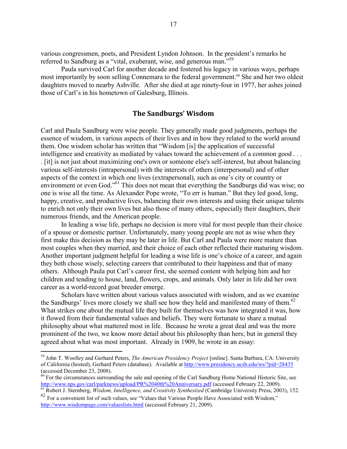various congressmen, poets, and President Lyndon Johnson. In the president's remarks he referred to Sandburg as a "vital, exuberant, wise, and generous man."<sup>59</sup>

Paula survived Carl for another decade and fostered his legacy in various ways, perhaps most importantly by soon selling Connemara to the federal government.<sup>60</sup> She and her two oldest daughters moved to nearby Ashville. After she died at age ninety-four in 1977, her ashes joined those of Carl's in his hometown of Galesburg, Illinois.

# **The Sandburgs' Wisdom**

Carl and Paula Sandburg were wise people. They generally made good judgments, perhaps the essence of wisdom, in various aspects of their lives and in how they related to the world around them. One wisdom scholar has written that "Wisdom [is] the application of successful intelligence and creativity as mediated by values toward the achievement of a common good . . . . [it] is not just about maximizing one's own or someone else's self-interest, but about balancing various self-interests (intrapersonal) with the interests of others (interpersonal) and of other aspects of the context in which one lives (extrapersonal), such as one's city or country or environment or even God."<sup>61</sup> This does not mean that everything the Sandburgs did was wise; no one is wise all the time. As Alexander Pope wrote, "To err is human." But they led good, long, happy, creative, and productive lives, balancing their own interests and using their unique talents to enrich not only their own lives but also those of many others, especially their daughters, their numerous friends, and the American people.

 In leading a wise life, perhaps no decision is more vital for most people than their choice of a spouse or domestic partner. Unfortunately, many young people are not as wise when they first make this decision as they may be later in life. But Carl and Paula were more mature than most couples when they married, and their choice of each other reflected their maturing wisdom. Another important judgment helpful for leading a wise life is one's choice of a career, and again they both chose wisely, selecting careers that contributed to their happiness and that of many others. Although Paula put Carl's career first, she seemed content with helping him and her children and tending to house, land, flowers, crops, and animals. Only later in life did her own career as a world-record goat breeder emerge.

Scholars have written about various values associated with wisdom, and as we examine the Sandburgs' lives more closely we shall see how they held and manifested many of them.<sup>62</sup> What strikes one about the mutual life they built for themselves was how integrated it was, how it flowed from their fundamental values and beliefs. They were fortunate to share a mutual philosophy about what mattered most in life. Because he wrote a great deal and was the more prominent of the two, we know more detail about his philosophy than hers; but in general they agreed about what was most important. Already in 1909, he wrote in an essay:

<sup>59</sup> John T. Woolley and Gerhard Peters, *The American Presidency Project* [online]. Santa Barbara, CA: University of California (hosted), Gerhard Peters (database). Available at http://www.presidency.ucsb.edu/ws/?pid=28435 (accessed December 23, 2008).

 $60$  For the circumstances surrounding the sale and opening of the Carl Sandburg Home National Historic Site, see http://www.nps.gov/carl/parknews/upload/PR%2040th%20Anniversary.pdf (accessed February 22, 2009).<br><sup>61</sup> Robert J. Sternberg, *Wisdom, Intelligence, and Creativity Synthesized* (Cambridge University Press, 2003), 152.

<sup>&</sup>lt;sup>62</sup> For a convenient list of such values, see "Values that Various People Have Associated with Wisdom," http://www.wisdompage.com/valueslists.html (accessed February 21, 2009).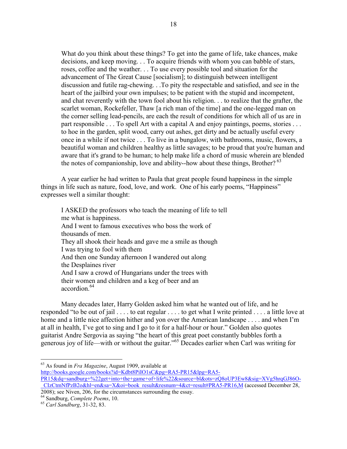What do you think about these things? To get into the game of life, take chances, make decisions, and keep moving. . . To acquire friends with whom you can babble of stars, roses, coffee and the weather. . . To use every possible tool and situation for the advancement of The Great Cause [socialism]; to distinguish between intelligent discussion and futile rag-chewing. . .To pity the respectable and satisfied, and see in the heart of the jailbird your own impulses; to be patient with the stupid and incompetent, and chat reverently with the town fool about his religion. . . to realize that the grafter, the scarlet woman, Rockefeller, Thaw [a rich man of the time] and the one-legged man on the corner selling lead-pencils, are each the result of conditions for which all of us are in part responsible . . . To spell Art with a capital A and enjoy paintings, poems, stories . . . to hoe in the garden, split wood, carry out ashes, get dirty and be actually useful every once in a while if not twice . . . To live in a bungalow, with bathrooms, music, flowers, a beautiful woman and children healthy as little savages; to be proud that you're human and aware that it's grand to be human; to help make life a chord of music wherein are blended the notes of companionship, love and ability--how about these things, Brother?  $^{63}$ 

A year earlier he had written to Paula that great people found happiness in the simple things in life such as nature, food, love, and work. One of his early poems, "Happiness" expresses well a similar thought:

I ASKED the professors who teach the meaning of life to tell me what is happiness. And I went to famous executives who boss the work of thousands of men. They all shook their heads and gave me a smile as though I was trying to fool with them And then one Sunday afternoon I wandered out along the Desplaines river And I saw a crowd of Hungarians under the trees with their women and children and a keg of beer and an accordion.<sup>64</sup>

Many decades later, Harry Golden asked him what he wanted out of life, and he responded "to be out of jail . . . . to eat regular . . . . to get what I write printed . . . . a little love at home and a little nice affection hither and yon over the American landscape . . . . and when I'm at all in health, I've got to sing and I go to it for a half-hour or hour." Golden also quotes guitarist Andre Sergovia as saying "the heart of this great poet constantly bubbles forth a generous joy of life—with or without the guitar.<sup> $0.65$ </sup> Decades earlier when Carl was writing for

http://books.google.com/books?id=Kdbt8PiIO1sC&pg=RA5-PR15&lpg=RA5-

<sup>63</sup> As found in *Fra Magazine*, August 1909, available at

PR15&dq=sandburg+%22get+into+the+game+of+life%22&source=bl&ots=zQ8oUP3Ew8&sig=XVg5hrqGJ86O- \_CIzCtmNfPzB2o&hl=en&sa=X&oi=book\_result&resnum=4&ct=result#PRA5-PR16,M (accessed December 28,

<sup>2008);</sup> see Niven, 206, for the circumstances surrounding the essay.

<sup>64</sup> Sandburg, *Complete Poems*, 10. 65 *Carl Sandburg*, 31-32, 83.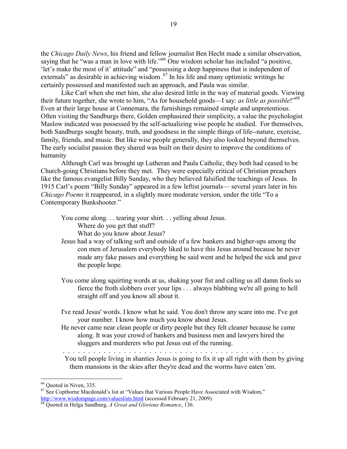the *Chicago Daily News*, his friend and fellow journalist Ben Hecht made a similar observation, saying that he "was a man in love with life."<sup>66</sup> One wisdom scholar has included "a positive, 'let's make the most of it' attitude" and "possessing a deep happiness that is independent of externals" as desirable in achieving wisdom.<sup>67</sup> In his life and many optimistic writings he certainly possessed and manifested such an approach, and Paula was similar.

Like Carl when she met him, she also desired little in the way of material goods. Viewing their future together, she wrote to him, "As for household goods—I say: *as little as possible*!"68 Even at their large house at Connemara, the furnishings remained simple and unpretentious. Often visiting the Sandburgs there, Golden emphasized their simplicity, a value the psychologist Maslow indicated was possessed by the self-actualizing wise people he studied. For themselves, both Sandburgs sought beauty, truth, and goodness in the simple things of life--nature, exercise, family, friends, and music. But like wise people generally, they also looked beyond themselves. The early socialist passion they shared was built on their desire to improve the conditions of humanity

Although Carl was brought up Lutheran and Paula Catholic, they both had ceased to be Church-going Christians before they met. They were especially critical of Christian preachers like the famous evangelist Billy Sunday, who they believed falsified the teachings of Jesus. In 1915 Carl's poem "Billy Sunday" appeared in a few leftist journals— several years later in his *Chicago Poems* it reappeared, in a slightly more moderate version, under the title "To a Contemporary Bunkshooter."

You come along. . . tearing your shirt. . . yelling about Jesus. Where do you get that stuff?

What do you know about Jesus?

- Jesus had a way of talking soft and outside of a few bankers and higher-ups among the con men of Jerusalem everybody liked to have this Jesus around because he never made any fake passes and everything he said went and he helped the sick and gave the people hope.
- You come along squirting words at us, shaking your fist and calling us all damn fools so fierce the froth slobbers over your lips . . . always blabbing we're all going to hell straight off and you know all about it.
- I've read Jesus' words. I know what he said. You don't throw any scare into me. I've got your number. I know how much you know about Jesus.
- He never came near clean people or dirty people but they felt cleaner because he came along. It was your crowd of bankers and business men and lawyers hired the sluggers and murderers who put Jesus out of the running.

. . . . . . . . . . . . . . . . . . . . . . . . . . . . . . . . . . . . . . . . . . . .

 You tell people living in shanties Jesus is going to fix it up all right with them by giving them mansions in the skies after they're dead and the worms have eaten 'em.

<sup>&</sup>lt;sup>66</sup> Quoted in Niven, 335.

 $67$  See Copthorne Macdonald's list at "Values that Various People Have Associated with Wisdom," http://www.wisdompage.com/valueslists.html (accessed February 21, 2009).

 $\frac{68}{68}$  Quoted in Helga Sandburg, *A Great and Glorious Romance*, 136.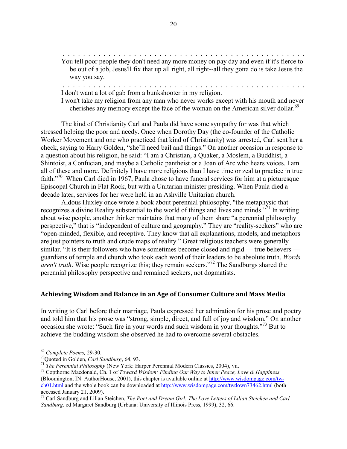. . . . . . . . . . . . . . . . . . . . . . . . . . . . . . . . . . . . . . . . . . . . . . . . You tell poor people they don't need any more money on pay day and even if it's fierce to be out of a job, Jesus'll fix that up all right, all right--all they gotta do is take Jesus the way you say.

. . . . . . . . . . . . . . . . . . . . . . . . . . . . . . . . . . . . . . . . . . . . . . . .

I don't want a lot of gab from a bunkshooter in my religion.

I won't take my religion from any man who never works except with his mouth and never cherishes any memory except the face of the woman on the American silver dollar.<sup>69</sup>

The kind of Christianity Carl and Paula did have some sympathy for was that which stressed helping the poor and needy. Once when Dorothy Day (the co-founder of the [Catholic](http://www.nationmaster.com/encyclopedia/Catholic-Worker-Movement)  [Worker Movement](http://www.nationmaster.com/encyclopedia/Catholic-Worker-Movement) and one who practiced that kind of Christianity) was arrested, Carl sent her a check, saying to Harry Golden, "she'll need bail and things." On another occasion in response to a question about his religion, he said: "I am a Christian, a Quaker, a Moslem, a Buddhist, a Shintoist, a Confucian, and maybe a Catholic pantheist or a Joan of Arc who hears voices. I am all of these and more. Definitely I have more religions than I have time or zeal to practice in true faith."70 When Carl died in 1967, Paula chose to have funeral services for him at a picturesque Episcopal Church in Flat Rock, but with a Unitarian minister presiding. When Paula died a decade later, services for her were held in an Ashville Unitarian church.

Aldous Huxley once wrote a book about perennial philosophy, "the metaphysic that recognizes a divine Reality substantial to the world of things and lives and minds."<sup>71</sup> In writing about wise people, another thinker maintains that many of them share "a perennial philosophy perspective," that is "independent of culture and geography." They are "reality-seekers" who are "open-minded, flexible, and receptive. They know that all explanations, models, and metaphors are just pointers to truth and crude maps of reality." Great religious teachers were generally similar. "It is their followers who have sometimes become closed and rigid — true believers guardians of temple and church who took each word of their leaders to be absolute truth. *Words aren't truth*. Wise people recognize this; they remain seekers.<sup>"72</sup> The Sandburgs shared the perennial philosophy perspective and remained seekers, not dogmatists.

### **Achieving Wisdom and Balance in an Age of Consumer Culture and Mass Media**

In writing to Carl before their marriage, Paula expressed her admiration for his prose and poetry and told him that his prose was "strong, simple, direct, and full of joy and wisdom." On another occasion she wrote: "Such fire in your words and such wisdom in your thoughts."73 But to achieve the budding wisdom she observed he had to overcome several obstacles.

<sup>&</sup>lt;sup>69</sup> Complete Poems, 29-30.<br><sup>70</sup>Quoted in Golden, *Carl Sandburg*, 64, 93.<br><sup>71</sup> The Perennial Philosophy (New York: Harper Perennial Modern Classics, 2004), vii.<br><sup>72</sup> Copthorne Macdonald, Ch. 1 of *Toward Wisdom: Finding* (Bloomington, IN: AuthorHouse, 2001), this chapter is available online at http://www.wisdompage.com/twch01.html and the whole book can be downloaded at http://www.wisdompage.com/twdown73462.html (both accessed January 21, 2009).

<sup>73</sup> Carl Sandburg and Lilian Steichen, *The Poet and Dream Girl: The Love Letters of Lilian Steichen and Carl Sandburg*. ed Margaret Sandburg (Urbana: University of Illinois Press, 1999), 32, 66.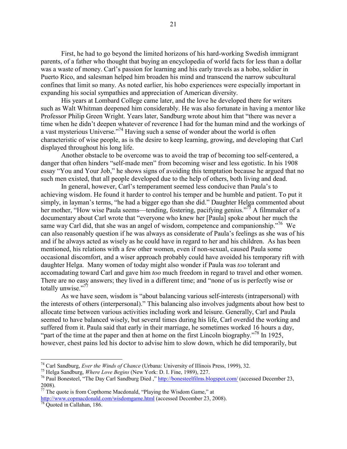First, he had to go beyond the limited horizons of his hard-working Swedish immigrant parents, of a father who thought that buying an encyclopedia of world facts for less than a dollar was a waste of money. Carl's passion for learning and his early travels as a hobo, soldier in Puerto Rico, and salesman helped him broaden his mind and transcend the narrow subcultural confines that limit so many. As noted earlier, his hobo experiences were especially important in expanding his social sympathies and appreciation of American diversity.

His years at Lombard College came later, and the love he developed there for writers such as Walt Whitman deepened him considerably. He was also fortunate in having a mentor like Professor Philip Green Wright. Years later, Sandburg wrote about him that "there was never a time when he didn't deepen whatever of reverence I had for the human mind and the workings of a vast mysterious Universe."74 Having such a sense of wonder about the world is often characteristic of wise people, as is the desire to keep learning, growing, and developing that Carl displayed throughout his long life.

Another obstacle to be overcome was to avoid the trap of becoming too self-centered, a danger that often hinders "self-made men" from becoming wiser and less egotistic. In his 1908 essay "You and Your Job," he shows signs of avoiding this temptation because he argued that no such men existed, that all people developed due to the help of others, both living and dead.

In general, however, Carl's temperament seemed less conducive than Paula's to achieving wisdom. He found it harder to control his temper and be humble and patient. To put it simply, in layman's terms, "he had a bigger ego than she did." Daughter Helga commented about her mother, "How wise Paula seems—tending, fostering, pacifying genius."<sup>75</sup> A filmmaker of a documentary about Carl wrote that "everyone who knew her [Paula] spoke about her much the same way Carl did, that she was an angel of wisdom, competence and companionship.<sup>76</sup> We can also reasonably question if he was always as considerate of Paula's feelings as she was of his and if he always acted as wisely as he could have in regard to her and his children. As has been mentioned, his relations with a few other women, even if non-sexual, caused Paula some occasional discomfort, and a wiser approach probably could have avoided his temporary rift with daughter Helga. Many women of today might also wonder if Paula was *too* tolerant and accomadating toward Carl and gave him *too* much freedom in regard to travel and other women. There are no easy answers; they lived in a different time; and "none of us is perfectly wise or totally unwise."<sup>77</sup>

As we have seen, wisdom is "about balancing various self-interests (intrapersonal) with the interests of others (interpersonal)." This balancing also involves judgments about how best to allocate time between various activities including work and leisure. Generally, Carl and Paula seemed to have balanced wisely, but several times during his life, Carl overdid the working and suffered from it. Paula said that early in their marriage, he sometimes worked 16 hours a day, "part of the time at the paper and then at home on the first Lincoln biography."<sup>78</sup> In 1925, however, chest pains led his doctor to advise him to slow down, which he did temporarily, but

 $^{74}$  Carl Sandburg, Ever the Winds of Chance (Urbana: University of Illinois Press, 1999), 32.

<sup>&</sup>lt;sup>75</sup> Helga Sandburg, *Where Love Begins* (New York: D. I. Fine, 1989), 227.<br><sup>76</sup> Paul Bonesteel, "The Day Carl Sandburg Died," http://bonesteelfilms.blogspot.com/ (accessed December 23, 2008).

 $77$  The quote is from Copthorne Macdonald, "Playing the Wisdom Game," at http://www.copmacdonald.com/wisdomgame.html (accessed December 23, 2008).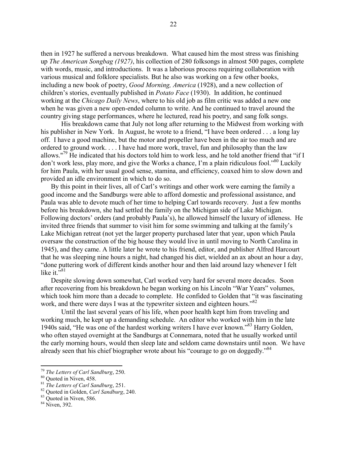then in 1927 he suffered a nervous breakdown. What caused him the most stress was finishing up *The American Songbag (1927)*, his collection of 280 folksongs in almost 500 pages, complete with words, music, and introductions. It was a laborious process requiring collaboration with various musical and folklore specialists. But he also was working on a few other books, including a new book of poetry, *Good Morning, America* (1928), and a new collection of children's stories, eventually published in *Potato Face* (1930). In addition, he continued working at the *Chicago Daily News*, where to his old job as film critic was added a new one when he was given a new open-ended column to write. And he continued to travel around the country giving stage performances, where he lectured, read his poetry, and sang folk songs.

 His breakdown came that July not long after returning to the Midwest from working with his publisher in New York. In August, he wrote to a friend, "I have been ordered . . . a long lay off. I have a good machine, but the motor and propeller have been in the air too much and are ordered to ground work. . . . I have had more work, travel, fun and philosophy than the law allows."<sup>79</sup> He indicated that his doctors told him to work less, and he told another friend that "if I don't work less, play more, and give the Works a chance, I'm a plain ridiculous fool."<sup>80</sup> Luckily for him Paula, with her usual good sense, stamina, and efficiency, coaxed him to slow down and provided an idle environment in which to do so.

By this point in their lives, all of Carl's writings and other work were earning the family a good income and the Sandburgs were able to afford domestic and professional assistance, and Paula was able to devote much of her time to helping Carl towards recovery. Just a few months before his breakdown, she had settled the family on the Michigan side of Lake Michigan. Following doctors' orders (and probably Paula's), he allowed himself the luxury of idleness. He invited three friends that summer to visit him for some swimming and talking at the family's Lake Michigan retreat (not yet the larger property purchased later that year, upon which Paula oversaw the construction of the big house they would live in until moving to North Carolina in 1945), and they came. A little later he wrote to his friend, editor, and publisher Alfred Harcourt that he was sleeping nine hours a night, had changed his diet, wielded an ax about an hour a day, "done puttering work of different kinds another hour and then laid around lazy whenever I felt like it." $81$ 

Despite slowing down somewhat, Carl worked very hard for several more decades. Soon after recovering from his breakdown he began working on his Lincoln "War Years" volumes, which took him more than a decade to complete. He confided to Golden that "it was fascinating work, and there were days I was at the typewriter sixteen and eighteen hours.<sup>82</sup>

Until the last several years of his life, when poor health kept him from traveling and working much, he kept up a demanding schedule. An editor who worked with him in the late 1940s said, "He was one of the hardest working writers I have ever known."<sup>83</sup> Harry Golden, who often stayed overnight at the Sandburgs at Connemara, noted that he usually worked until the early morning hours, would then sleep late and seldom came downstairs until noon. We have already seen that his chief biographer wrote about his "courage to go on doggedly."<sup>84</sup>

<u>.</u>

<sup>&</sup>lt;sup>79</sup> *The Letters of Carl Sandburg*, 250.<br><sup>80</sup> Quoted in Niven, 458.

<sup>&</sup>lt;sup>81</sup> *The Letters of Carl Sandburg*, 251.<br><sup>82</sup> Quoted in Golden, *Carl Sandburg*, 240.<br><sup>83</sup> Quoted in Niven, 586.

<sup>&</sup>lt;sup>84</sup> Niven, 392.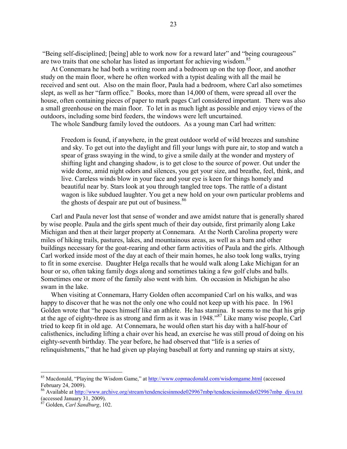"Being self-disciplined; [being] able to work now for a reward later" and "being courageous" are two traits that one scholar has listed as important for achieving wisdom.<sup>85</sup>

At Connemara he had both a writing room and a bedroom up on the top floor, and another study on the main floor, where he often worked with a typist dealing with all the mail he received and sent out. Also on the main floor, Paula had a bedroom, where Carl also sometimes slept, as well as her "farm office." Books, more than 14,000 of them, were spread all over the house, often containing pieces of paper to mark pages Carl considered important. There was also a small greenhouse on the main floor. To let in as much light as possible and enjoy views of the outdoors, including some bird feeders, the windows were left uncurtained.

The whole Sandburg family loved the outdoors. As a young man Carl had written:

Freedom is found, if anywhere, in the great outdoor world of wild breezes and sunshine and sky. To get out into the daylight and fill your lungs with pure air, to stop and watch a spear of grass swaying in the wind, to give a smile daily at the wonder and mystery of shifting light and changing shadow, is to get close to the source of power. Out under the wide dome, amid night odors and silences, you get your size, and breathe, feel, think, and live. Careless winds blow in your face and your eye is keen for things homely and beautiful near by. Stars look at you through tangled tree tops. The rattle of a distant wagon is like subdued laughter. You get a new hold on your own particular problems and the ghosts of despair are put out of business. $86$ 

Carl and Paula never lost that sense of wonder and awe amidst nature that is generally shared by wise people. Paula and the girls spent much of their day outside, first primarily along Lake Michigan and then at their larger property at Connemara. At the North Carolina property were miles of hiking trails, pastures, lakes, and mountainous areas, as well as a barn and other buildings necessary for the goat-rearing and other farm activities of Paula and the girls. Although Carl worked inside most of the day at each of their main homes, he also took long walks, trying to fit in some exercise. Daughter Helga recalls that he would walk along Lake Michigan for an hour or so, often taking family dogs along and sometimes taking a few golf clubs and balls. Sometimes one or more of the family also went with him. On occasion in Michigan he also swam in the lake.

When visiting at Connemara, Harry Golden often accompanied Carl on his walks, and was happy to discover that he was not the only one who could not keep up with his pace. In 1961 Golden wrote that "he paces himself like an athlete. He has stamina. It seems to me that his grip at the age of eighty-three is as strong and firm as it was in 1948."87 Like many wise people, Carl tried to keep fit in old age. At Connemara, he would often start his day with a half-hour of calisthenics, including lifting a chair over his head, an exercise he was still proud of doing on his eighty-seventh birthday. The year before, he had observed that "life is a series of relinquishments," that he had given up playing baseball at forty and running up stairs at sixty,

<sup>&</sup>lt;sup>85</sup> Macdonald, "Playing the Wisdom Game," at http://www.copmacdonald.com/wisdomgame.html (accessed February 24, 2009).

<sup>86</sup> Available at http://www.archive.org/stream/tendenciesinmode029967mbp/tendenciesinmode029967mbp\_djvu.txt (accessed January 31, 2009).

<sup>87</sup> Golden, *Carl Sandburg*, 102.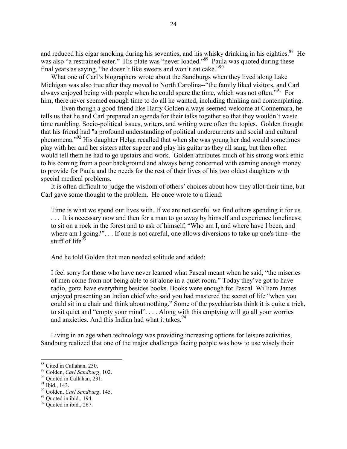and reduced his cigar smoking during his seventies, and his whisky drinking in his eighties.<sup>88</sup> He was also "a restrained eater." His plate was "never loaded."<sup>89</sup> Paula was quoted during these final years as saying, "he doesn't like sweets and won't eat cake."90

What one of Carl's biographers wrote about the Sandburgs when they lived along Lake Michigan was also true after they moved to North Carolina--"the family liked visitors, and Carl always enjoyed being with people when he could spare the time, which was not often.<sup>"91</sup> For him, there never seemed enough time to do all he wanted, including thinking and contemplating.

Even though a good friend like Harry Golden always seemed welcome at Connemara, he tells us that he and Carl prepared an agenda for their talks together so that they wouldn't waste time rambling. Socio-political issues, writers, and writing were often the topics. Golden thought that his friend had "a profound understanding of political undercurrents and social and cultural phenomena."92 His daughter Helga recalled that when she was young her dad would sometimes play with her and her sisters after supper and play his guitar as they all sang, but then often would tell them he had to go upstairs and work. Golden attributes much of his strong work ethic to his coming from a poor background and always being concerned with earning enough money to provide for Paula and the needs for the rest of their lives of his two oldest daughters with special medical problems.

It is often difficult to judge the wisdom of others' choices about how they allot their time, but Carl gave some thought to the problem. He once wrote to a friend:

Time is what we spend our lives with. If we are not careful we find others spending it for us. . . . It is necessary now and then for a man to go away by himself and experience loneliness; to sit on a rock in the forest and to ask of himself, "Who am I, and where have I been, and where am I going?"... If one is not careful, one allows diversions to take up one's time--the stuff of life $93$ 

And he told Golden that men needed solitude and added:

I feel sorry for those who have never learned what Pascal meant when he said, "the miseries of men come from not being able to sit alone in a quiet room." Today they've got to have radio, gotta have everything besides books. Books were enough for Pascal. William James enjoyed presenting an Indian chief who said you had mastered the secret of life "when you could sit in a chair and think about nothing." Some of the psychiatrists think it is quite a trick, to sit quiet and "empty your mind". . . . Along with this emptying will go all your worries and anxieties. And this Indian had what it takes.  $94$ 

Living in an age when technology was providing increasing options for leisure activities, Sandburg realized that one of the major challenges facing people was how to use wisely their

<sup>88</sup> Cited in Callahan, 230.

<sup>&</sup>lt;sup>89</sup> Golden, *Carl Sandburg*, 102.<br><sup>90</sup> Quoted in Callahan, 231.

 $91$  Ibid., 143.

<sup>92</sup> Golden, *Carl Sandburg*, 145. 93 Quoted in ibid., 194.

 $94$  Quoted in ibid., 267.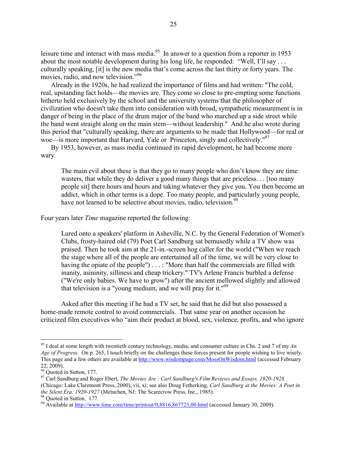leisure time and interact with mass media.<sup>95</sup> In answer to a question from a reporter in 1953 about the most notable development during his long life, he responded: "Well, I'll say . . . culturally speaking, [it] is the new media that's come across the last thirty or forty years. The movies, radio, and now television."<sup>96</sup>

Already in the 1920s, he had realized the importance of films and had written: "The cold, real, upstanding fact holds—the movies are. They come so close to pre-empting some functions hitherto held exclusively by the school and the university systems that the philosopher of civilization who doesn't take them into consideration with broad, sympathetic measurement is in danger of being in the place of the drum major of the band who marched up a side street while the band went straight along on the main stem—without leadership." And he also wrote during this period that "culturally speaking, there are arguments to be made that Hollywood—for real or woe—is more important that Harvard, Yale or Princeton, singly and collectively."<sup>97</sup>

By 1953, however, as mass media continued its rapid development, he had become more wary.

The main evil about these is that they go to many people who don't know they are time wasters, that while they do deliver a good many things that are priceless. . . [too many people sit] there hours and hours and taking whatever they give you. You then become an addict, which in other terms is a dope. Too many people, and particularly young people, have not learned to be selective about movies, radio, television.<sup>98</sup>

Four years later *Time* magazine reported the following:

Lured onto a speakers' platform in Asheville, N.C. by the General Federation of Women's Clubs, frosty-haired old (79) Poet Carl Sandburg sat bemusedly while a TV show was praised. Then he took aim at the 21-in.-screen hog caller for the world ("When we reach the stage where all of the people are entertained all of the time, we will be very close to having the opiate of the people") . . . : "More than half the commercials are filled with inanity, asininity, silliness and cheap trickery." TV's Arlene Francis burbled a defense ("We're only babies. We have to grow") after the ancient mellowed slightly and allowed that television is a "young medium, and we will pray for it." $99$ 

Asked after this meeting if he had a TV set, he said that he did but also possessed a home-made remote control to avoid commercials. That same year on another occasion he criticized film executives who "aim their product at blood, sex, violence, profits, and who ignore

<sup>95</sup> I deal at some length with twentieth century technology, media, and consumer culture in Chs. 2 and 7 of my *An Age of Progress*. On p. 265, I touch briefly on the challenges these forces present for people wishing to live wisely. This page and a few others are available at http://www.wisdompage.com/MossOnWisdom.html (accessed February 22, 2009).

<sup>&</sup>lt;sup>96</sup> Quoted in Sutton, 177.

<sup>97</sup> Carl Sandburg and Roger Ebert, *The Movies Are : Carl Sandburg's Film Reviews and Essays, 1920-1928* (Chicago: Lake Claremont Press, 2000), vii, xi; see also Doug Fetherking, *Carl Sandburg at the Movies: A Poet in the Silent Era, 1920-1927* (Metuchen, NJ: The Scarecrow Press, Inc., 1985). 98 Ouoted in Sutton, 177.

<sup>&</sup>lt;sup>99</sup> Available at http://www.time.com/time/printout/0,8816,867723,00.html (accessed January 30, 2009).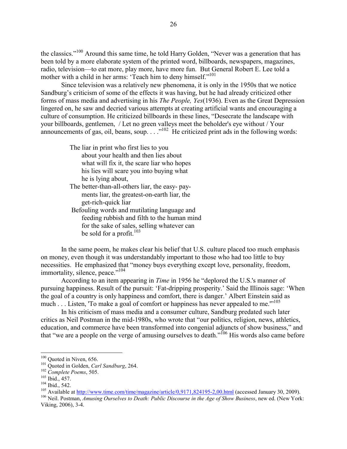the classics."100 Around this same time, he told Harry Golden, "Never was a generation that has been told by a more elaborate system of the printed word, billboards, newspapers, magazines, radio, television—to eat more, play more, have more fun. But General Robert E. Lee told a mother with a child in her arms: 'Teach him to deny himself."<sup>101</sup>

 Since television was a relatively new phenomena, it is only in the 1950s that we notice Sandburg's criticism of some of the effects it was having, but he had already criticized other forms of mass media and advertising in his *The People, Yes*(1936). Even as the Great Depression lingered on, he saw and decried various attempts at creating artificial wants and encouraging a culture of consumption. He criticized billboards in these lines, "Desecrate the landscape with your billboards, gentlemen, / Let no green valleys meet the beholder's eye without / Your announcements of gas, oil, beans, soup.  $\ldots$ <sup>102</sup> He criticized print ads in the following words:

> The liar in print who first lies to you about your health and then lies about what will fix it, the scare liar who hopes his lies will scare you into buying what he is lying about,

- The better-than-all-others liar, the easy- payments liar, the greatest-on-earth liar, the get-rich-quick liar
- Befouling words and mutilating language and feeding rubbish and filth to the human mind for the sake of sales, selling whatever can be sold for a profit. $103$

In the same poem, he makes clear his belief that U.S. culture placed too much emphasis on money, even though it was understandably important to those who had too little to buy necessities. He emphasized that "money buys everything except love, personality, freedom, immortality, silence, peace."<sup>104</sup>

According to an item appearing in *Time* in 1956 he "deplored the U.S.'s manner of pursuing happiness. Result of the pursuit: 'Fat-dripping prosperity.' Said the Illinois sage: 'When the goal of a country is only happiness and comfort, there is danger.' Albert Einstein said as much  $\dots$  Listen, 'To make a goal of comfort or happiness has never appealed to me."<sup>105</sup>

In his criticism of mass media and a consumer culture, Sandburg predated such later critics as Neil Postman in the mid-1980s, who wrote that "our politics, religion, news, athletics, education, and commerce have been transformed into congenial adjuncts of show business," and that "we are a people on the verge of amusing ourselves to death."<sup>106</sup> His words also came before

 $100$  Ouoted in Niven, 656.

<sup>&</sup>lt;sup>102</sup> Quoted in Golden, *Carl Sandburg*, 264.<br>
<sup>102</sup> Complete Poems, 505.<br>
<sup>103</sup> Ibid., 457.<br>
<sup>103</sup> Ibid., 542.<br>
<sup>103</sup> Available at <u>http://www.time.com/time/magazine/article/0,9171,824195-2,00.html</u> (accessed January 30,

Viking, 2006), 3-4.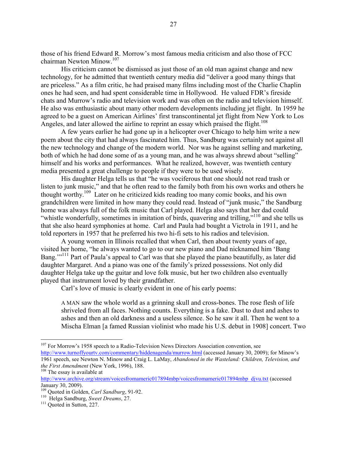those of his friend Edward R. Morrow's most famous media criticism and also those of FCC chairman Newton Minow.107

His criticism cannot be dismissed as just those of an old man against change and new technology, for he admitted that twentieth century media did "deliver a good many things that are priceless." As a film critic, he had praised many films including most of the Charlie Chaplin ones he had seen, and had spent considerable time in Hollywood. He valued FDR's fireside chats and Murrow's radio and television work and was often on the radio and television himself. He also was enthusiastic about many other modern developments including jet flight. In 1959 he agreed to be a guest on American Airlines' first transcontinental jet flight from New York to Los Angeles, and later allowed the airline to reprint an essay which praised the flight.<sup>108</sup>

A few years earlier he had gone up in a helicopter over Chicago to help him write a new poem about the city that had always fascinated him. Thus, Sandburg was certainly not against all the new technology and change of the modern world. Nor was he against selling and marketing, both of which he had done some of as a young man, and he was always shrewd about "selling" himself and his works and performances. What he realized, however, was twentieth century media presented a great challenge to people if they were to be used wisely.

His daughter Helga tells us that "he was vociferous that one should not read trash or listen to junk music," and that he often read to the family both from his own works and others he thought worthy.109 Later on he criticized kids reading too many comic books, and his own grandchildren were limited in how many they could read. Instead of "junk music," the Sandburg home was always full of the folk music that Carl played. Helga also says that her dad could "whistle wonderfully, sometimes in imitation of birds, quavering and trilling,"<sup>110</sup> and she tells us that she also heard symphonies at home. Carl and Paula had bought a Victrola in 1911, and he told reporters in 1957 that he preferred his two hi-fi sets to his radios and television.

 A young women in Illinois recalled that when Carl, then about twenty years of age, visited her home, "he always wanted to go to our new piano and Dad nicknamed him 'Bang Bang."<sup>111</sup> Part of Paula's appeal to Carl was that she played the piano beautifully, as later did daughter Margaret. And a piano was one of the family's prized possessions. Not only did daughter Helga take up the guitar and love folk music, but her two children also eventually played that instrument loved by their grandfather.

Carl's love of music is clearly evident in one of his early poems:

A MAN saw the whole world as a grinning skull and cross-bones. The rose flesh of life shriveled from all faces. Nothing counts. Everything is a fake. Dust to dust and ashes to ashes and then an old darkness and a useless silence. So he saw it all. Then he went to a Mischa Elman [a famed Russian violinist who made his U.S. debut in 1908] concert. Two

<sup>&</sup>lt;sup>107</sup> For Morrow's 1958 speech to a Radio-Television News Directors Association convention, see http://www.turnoffyourtv.com/commentary/hiddenagenda/murrow.html (accessed January 30, 2009); for Minow's 1961 speech, see Newton N. Minow and Craig L. LaMay, *Abandoned in the Wasteland: Children, Television, and* 

*the First Amendment* (New York, 1996), 188.<br><sup>108</sup> The essay is available at

http://www.archive.org/stream/voicesfromameric017894mbp/voicesfromameric017894mbp\_djvu.txt (accessed January 30, 2009).

<sup>&</sup>lt;sup>109</sup> Quoted in Golden, *Carl Sandburg*, 91-92.<br><sup>110</sup> Helga Sandburg, *Sweet Dreams*, 27.<br><sup>111</sup> Quoted in Sutton, 227.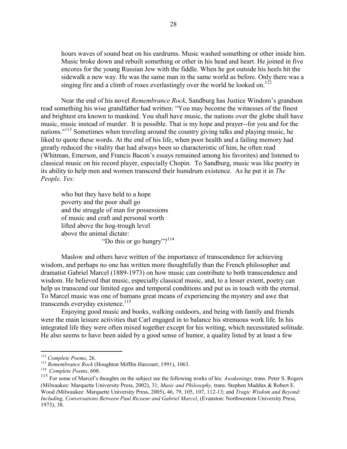hours waves of sound beat on his eardrums. Music washed something or other inside him. Music broke down and rebuilt something or other in his head and heart. He joined in five encores for the young Russian Jew with the fiddle. When he got outside his heels hit the sidewalk a new way. He was the same man in the same world as before. Only there was a singing fire and a climb of roses everlastingly over the world he looked on.<sup>112</sup>

Near the end of his novel *Remembrance Rock*, Sandburg has Justice Windom's grandson read something his wise grandfather had written: "You may become the witnesses of the finest and brightest era known to mankind. You shall have music, the nations over the globe shall have music, music instead of murder. It is possible. That is my hope and prayer--for you and for the nations."<sup>113</sup> Sometimes when traveling around the country giving talks and playing music, he liked to quote these words. At the end of his life, when poor health and a failing memory had greatly reduced the vitality that had always been so characteristic of him, he often read (Whitman, Emerson, and Francis Bacon's essays remained among his favorites) and listened to classical music on his record player, especially Chopin. To Sandburg, music was like poetry in its ability to help men and women transcend their humdrum existence. As he put it in *The People, Yes:* 

who but they have held to a hope poverty and the poor shall go and the struggle of man for possessions of music and craft and personal worth lifted above the hog-trough level above the animal dictate: "Do this or go hungry"?<sup>114</sup>

Maslow and others have written of the importance of transcendence for achieving wisdom, and perhaps no one has written more thoughtfully than the French philosopher and dramatist Gabriel Marcel (1889-1973) on how music can contribute to both transcendence and wisdom. He believed that music, especially classical music, and, to a lesser extent, poetry can help us transcend our limited egos and temporal conditions and put us in touch with the eternal. To Marcel music was one of humans great means of experiencing the mystery and awe that transcends everyday existence.<sup>115</sup>

Enjoying good music and books, walking outdoors, and being with family and friends were the main leisure activities that Carl engaged in to balance his strenuous work life. In his integrated life they were often mixed together except for his writing, which necessitated solitude. He also seems to have been aided by a good sense of humor, a quality listed by at least a few

<sup>&</sup>lt;sup>112</sup> Complete Poems, 26.

<sup>112</sup> *Complete Poems*, 26. 113 *Remembrance Rock* (Houghton Mifflin Harcourt, 1991), 1063. 114 *Complete Poems*, 608.

<sup>115</sup> For some of Marcel's thoughts on the subject see the following works of his: *Awakenings,* trans. Peter S. Rogers (Milwaukee: Marquette University Press, 2002), 31; *Music and Philosophy,* trans. Stephen Maddux & Robert E. Wood *(*Milwaukee: Marquette University Press, 2005), 46, 79, 105, 107, 112-13; and *Tragic Wisdom and Beyond; Including, Conversations Between Paul Ricoeur and Gabriel Marcel*, (Evanston: Northwestern University Press, 1973), 38.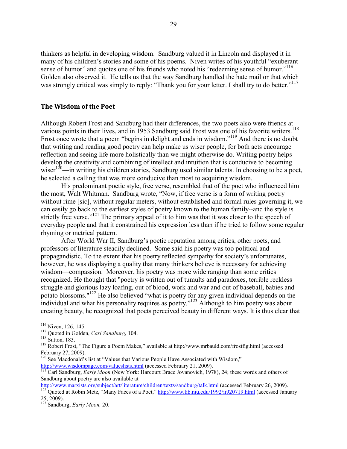thinkers as helpful in developing wisdom. Sandburg valued it in Lincoln and displayed it in many of his children's stories and some of his poems. Niven writes of his youthful "exuberant sense of humor" and quotes one of his friends who noted his "redeeming sense of humor."<sup>116</sup> Golden also observed it. He tells us that the way Sandburg handled the hate mail or that which was strongly critical was simply to reply: "Thank you for your letter. I shall try to do better."<sup>117</sup>

### **The Wisdom of the Poet**

Although Robert Frost and Sandburg had their differences, the two poets also were friends at various points in their lives, and in 1953 Sandburg said Frost was one of his favorite writers.<sup>118</sup> Frost once wrote that a poem "begins in delight and ends in wisdom."<sup>119</sup> And there is no doubt that writing and reading good poetry can help make us wiser people, for both acts encourage reflection and seeing life more holistically than we might otherwise do. Writing poetry helps develop the creativity and combining of intellect and intuition that is conducive to becoming wiser $120$ —in writing his children stories, Sandburg used similar talents. In choosing to be a poet, he selected a calling that was more conducive than most to acquiring wisdom.

His predominant poetic style, free verse, resembled that of the poet who influenced him the most, Walt Whitman. Sandburg wrote, "Now, if free verse is a form of writing poetry without rime [sic], without regular meters, without established and formal rules governing it, we can easily go back to the earliest styles of poetry known to the human family--and the style is strictly free verse."<sup>121</sup> The primary appeal of it to him was that it was closer to the speech of everyday people and that it constrained his expression less than if he tried to follow some regular rhyming or metrical pattern.

After World War II, Sandburg's poetic reputation among critics, other poets, and professors of literature steadily declined. Some said his poetry was too political and propagandistic. To the extent that his poetry reflected sympathy for society's unfortunates, however, he was displaying a quality that many thinkers believe is necessary for achieving wisdom—compassion. Moreover, his poetry was more wide ranging than some critics recognized. He thought that "poetry is written out of tumults and paradoxes, terrible reckless struggle and glorious lazy loafing, out of blood, work and war and out of baseball, babies and potato blossoms."122 He also believed "what is poetry for any given individual depends on the individual and what his personality requires as poetry."123 Although to him poetry was about creating beauty, he recognized that poets perceived beauty in different ways. It is thus clear that

<sup>&</sup>lt;sup>116</sup> Niven, 126, 145.

<sup>&</sup>lt;sup>117</sup> Quoted in Golden, *Carl Sandburg*, 104.<br><sup>118</sup> Sutton, 183. 119 Robert Frost, "The Figure a Poem Makes," available at http://www.mrbauld.com/frostfig.html (accessed February 27, 2009).

<sup>&</sup>lt;sup>120</sup> See Macdonald's list at "Values that Various People Have Associated with Wisdom,"

http://www.wisdompage.com/valueslists.html (accessed February 21, 2009).<br><sup>121</sup> Carl Sandburg, *Early Moon* (New York: Harcourt Brace Jovanovich, 1978), 24; these words and others of Sandburg about poetry are also available at

http://www.marxists.org/subject/art/literature/children/texts/sandburg/talk.html (accessed February 26, 2009).<br><sup>122</sup> Quoted at Robin Metz, "Many Faces of a Poet," http://www.lib.niu.edu/1992/ii920719.html (accessed January 25, 2009).

<sup>123</sup> Sandburg, *Early Moon,* 20.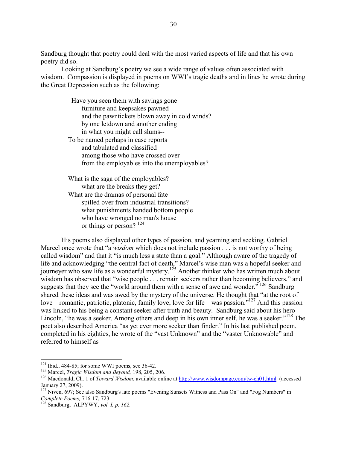Sandburg thought that poetry could deal with the most varied aspects of life and that his own poetry did so.

Looking at Sandburg's poetry we see a wide range of values often associated with wisdom. Compassion is displayed in poems on WWI's tragic deaths and in lines he wrote during the Great Depression such as the following:

> Have you seen them with savings gone furniture and keepsakes pawned and the pawntickets blown away in cold winds? by one letdown and another ending in what you might call slums-- To be named perhaps in case reports and tabulated and classified among those who have crossed over from the employables into the unemployables? What is the saga of the employables? what are the breaks they get? What are the dramas of personal fate

spilled over from industrial transitions? what punishments handed bottom people who have wronged no man's house or things or person?  $124$ 

His poems also displayed other types of passion, and yearning and seeking. Gabriel Marcel once wrote that "a *wisdom* which does not include passion . . . is not worthy of being called wisdom" and that it "is much less a state than a goal." Although aware of the tragedy of life and acknowledging "the central fact of death," Marcel's wise man was a hopeful seeker and journeyer who saw life as a wonderful mystery.<sup>125</sup> Another thinker who has written much about wisdom has observed that "wise people . . . remain seekers rather than becoming believers," and suggests that they see the "world around them with a sense of awe and wonder."  $^{126}$  Sandburg shared these ideas and was awed by the mystery of the universe. He thought that "at the root of love—romantic, patriotic, platonic, family love, love for life—was passion."127 And this passion was linked to his being a constant seeker after truth and beauty. Sandburg said about his hero Lincoln, "he was a seeker. Among others and deep in his own inner self, he was a seeker."<sup>128</sup> The poet also described America "as yet ever more seeker than finder." In his last published poem, completed in his eighties, he wrote of the "vast Unknown" and the "vaster Unknowable" and referred to himself as

<sup>&</sup>lt;sup>124</sup> Ibid., 484-85; for some WWI poems, see 36-42.

<sup>&</sup>lt;sup>125</sup> Marcel, *Tragic Wisdom and Beyond*, 198, 205, 206.<br><sup>126</sup> Macdonald, Ch. 1 of *Toward Wisdom*, available online at http://www.wisdompage.com/tw-ch01.html (accessed January 27, 2009).

 $127$  Niven, 697; See also Sandburg's late poems "Evening Sunsets Witness and Pass On" and "Fog Numbers" in *Complete Poems, 716-17, 723*<br><sup>128</sup> Sandburg, ALPYWY, *vol. I, p. 162.*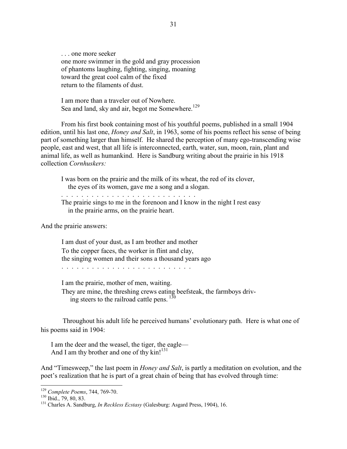. . . one more seeker one more swimmer in the gold and gray procession of phantoms laughing, fighting, singing, moaning toward the great cool calm of the fixed return to the filaments of dust.

I am more than a traveler out of Nowhere. Sea and land, sky and air, begot me Somewhere.<sup>129</sup>

From his first book containing most of his youthful poems, published in a small 1904 edition, until his last one, *Honey and Salt*, in 1963, some of his poems reflect his sense of being part of something larger than himself. He shared the perception of many ego-transcending wise people, east and west, that all life is interconnected, earth, water, sun, moon, rain, plant and animal life, as well as humankind. Here is Sandburg writing about the prairie in his 1918 collection *Cornhuskers:* 

I was born on the prairie and the milk of its wheat, the red of its clover, the eyes of its women, gave me a song and a slogan.

. . . . . . . . . . . . . . . . . . . . . . . . . . .

The prairie sings to me in the forenoon and I know in the night I rest easy in the prairie arms, on the prairie heart.

And the prairie answers:

I am dust of your dust, as I am brother and mother To the copper faces, the worker in flint and clay, the singing women and their sons a thousand years ago

. . . . . . . . . . . . . . . . . . . . . . . . . .

I am the prairie, mother of men, waiting. They are mine, the threshing crews eating beefsteak, the farmboys driv ing steers to the railroad cattle pens.<sup>130</sup>

Throughout his adult life he perceived humans' evolutionary path. Here is what one of his poems said in 1904:

I am the deer and the weasel, the tiger, the eagle— And I am thy brother and one of thy kin!<sup>131</sup>

And "Timesweep," the last poem in *Honey and Salt*, is partly a meditation on evolution, and the poet's realization that he is part of a great chain of being that has evolved through time:

<sup>&</sup>lt;sup>129</sup> *Complete Poems*, 744, 769-70.<br><sup>130</sup> Ibid., 79, 80, 83.<br><sup>131</sup> Charles A. Sandburg, *In Reckless Ecstasy* (Galesburg: Asgard Press, 1904), 16.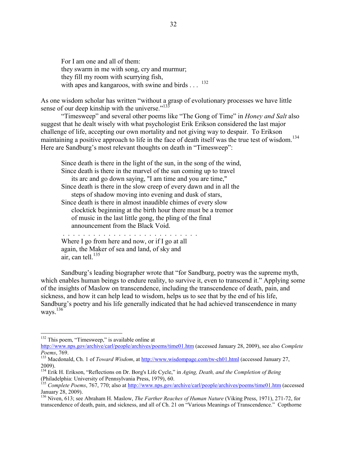For I am one and all of them: they swarm in me with song, cry and murmur; they fill my room with scurrying fish, with apes and kangaroos, with swine and birds . . . <sup>132</sup>

As one wisdom scholar has written "without a grasp of evolutionary processes we have little sense of our deep kinship with the universe." $133$ 

 "Timesweep" and several other poems like "The Gong of Time" in *Honey and Salt* also suggest that he dealt wisely with what psychologist Erik Erikson considered the last major challenge of life, accepting our own mortality and not giving way to despair. To Erikson maintaining a positive approach to life in the face of death itself was the true test of wisdom.<sup>134</sup> Here are Sandburg's most relevant thoughts on death in "Timesweep":

Since death is there in the light of the sun, in the song of the wind, Since death is there in the marvel of the sun coming up to travel its arc and go down saying, "I am time and you are time," Since death is there in the slow creep of every dawn and in all the steps of shadow moving into evening and dusk of stars, Since death is there in almost inaudible chimes of every slow clocktick beginning at the birth hour there must be a tremor of music in the last little gong, the pling of the final announcement from the Black Void. . . . . . . . . . . . . . . . . . . . . . . . . . . .

Where I go from here and now, or if I go at all again, the Maker of sea and land, of sky and air, can tell. $^{135}$ 

Sandburg's leading biographer wrote that "for Sandburg, poetry was the supreme myth, which enables human beings to endure reality, to survive it, even to transcend it." Applying some of the insights of Maslow on transcendence, including the transcendence of death, pain, and sickness, and how it can help lead to wisdom, helps us to see that by the end of his life, Sandburg's poetry and his life generally indicated that he had achieved transcendence in many ways. $^{136}$ 

 $132$  This poem, "Timesweep," is available online at

http://www.nps.gov/archive/carl/people/archives/poems/time01.htm (accessed January 28, 2009), see also *Complete* 

<sup>&</sup>lt;sup>133</sup> Macdonald, Ch. 1 of *Toward Wisdom*, at http://www.wisdompage.com/tw-ch01.html (accessed January 27, 2009).

<sup>134</sup> Erik H. Erikson, "Reflections on Dr. Borg's Life Cycle," in *Aging, Death, and the Completion of Being* (Philadelphia: University of Pennsylvania Press, 1979), 60.

<sup>&</sup>lt;sup>135</sup> *Complete Poems*, 767, 770; also at http://www.nps.gov/archive/carl/people/archives/poems/time01.htm (accessed January 28, 2009).

<sup>136</sup> Niven, 613; see Abraham H. Maslow, *The Farther Reaches of Human Nature* (Viking Press, 1971), 271-72, for transcendence of death, pain, and sickness, and all of Ch. 21 on "Various Meanings of Transcendence." Copthorne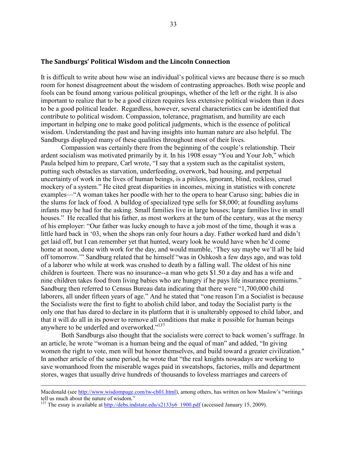#### **The Sandburgs' Political Wisdom and the Lincoln Connection**

It is difficult to write about how wise an individual's political views are because there is so much room for honest disagreement about the wisdom of contrasting approaches. Both wise people and fools can be found among various political groupings, whether of the left or the right. It is also important to realize that to be a good citizen requires less extensive political wisdom than it does to be a good political leader. Regardless, however, several characteristics can be identified that contribute to political wisdom. Compassion, tolerance, pragmatism, and humility are each important in helping one to make good political judgments, which is the essence of political wisdom. Understanding the past and having insights into human nature are also helpful. The Sandburgs displayed many of these qualities throughout most of their lives.

 Compassion was certainly there from the beginning of the couple's relationship. Their ardent socialism was motivated primarily by it. In his 1908 essay "You and Your Job," which Paula helped him to prepare, Carl wrote, "I say that a system such as the capitalist system, putting such obstacles as starvation, underfeeding, overwork, bad housing, and perpetual uncertainty of work in the lives of human beings, is a pitiless, ignorant, blind, reckless, cruel mockery of a system." He cited great disparities in incomes, mixing in statistics with concrete examples—"A woman takes her poodle with her to the opera to hear Caruso sing; babies die in the slums for lack of food. A bulldog of specialized type sells for \$8,000; at foundling asylums infants may be had for the asking. Small families live in large houses; large families live in small houses." He recalled that his father, as most workers at the turn of the century, was at the mercy of his employer: "Our father was lucky enough to have a job most of the time, though it was a little hard back in '03, when the shops ran only four hours a day. Father worked hard and didn't get laid off, but I can remember yet that hunted, weary look he would have when he'd come home at noon, done with work for the day, and would mumble, 'They say maybe we'll all be laid off tomorrow.'" Sandburg related that he himself "was in Oshkosh a few days ago, and was told of a laborer who while at work was crushed to death by a falling wall. The oldest of his nine children is fourteen. There was no insurance--a man who gets \$1.50 a day and has a wife and nine children takes food from living babies who are hungry if he pays life insurance premiums." Sandburg then referred to Census Bureau data indicating that there were "1,700,000 child laborers, all under fifteen years of age." And he stated that "one reason I'm a Socialist is because the Socialists were the first to fight to abolish child labor, and today the Socialist party is the only one that has dared to declare in its platform that it is unalterably opposed to child labor, and that it will do all in its power to remove all conditions that make it possible for human beings anywhere to be underfed and overworked."137

Both Sandburgs also thought that the socialists were correct to back women's suffrage. In an article, he wrote "woman is a human being and the equal of man" and added, "In giving women the right to vote, men will but honor themselves, and build toward a greater civilization." In another article of the same period, he wrote that "the real knights nowadays are working to save womanhood from the miserable wages paid in sweatshops, factories, mills and department stores, wages that usually drive hundreds of thousands to loveless marriages and careers of

Macdonald (see http://www.wisdompage.com/tw-ch01.html), among others, has written on how Maslow's "writings" tell us much about the nature of wisdom."

<sup>&</sup>lt;sup>137</sup> The essay is available at http://debs.indstate.edu/s2133y6 1900.pdf (accessed January 15, 2009).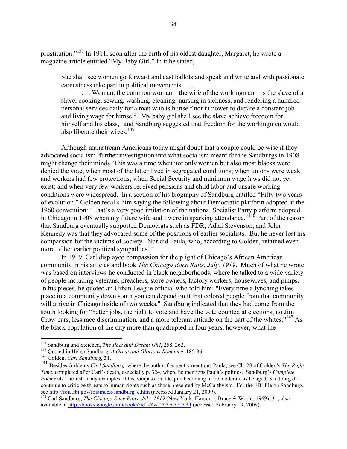prostitution."138 In 1911, soon after the birth of his oldest daughter, Margaret, he wrote a magazine article entitled "My Baby Girl." In it he stated,

She shall see women go forward and cast ballots and speak and write and with passionate earnestness take part in political movements . . . .

. . . Woman, the common woman—the wife of the workingman—is the slave of a slave, cooking, sewing, washing, cleaning, nursing in sickness, and rendering a hundred personal services daily for a man who is himself not in power to dictate a constant job and living wage for himself. My baby girl shall see the slave achieve freedom for himself and his class," and Sandburg suggested that freedom for the workingmen would also liberate their wives. $139$ 

Although mainstream Americans today might doubt that a couple could be wise if they advocated socialism, further investigation into what socialism meant for the Sandburgs in 1908 might change their minds. This was a time when not only women but also most blacks were denied the vote; when most of the latter lived in segregated conditions; when unions were weak and workers had few protections; when Social Security and minimum wage laws did not yet exist; and when very few workers received pensions and child labor and unsafe working conditions were widespread. In a section of his biography of Sandburg entitled "Fifty-two years of evolution," Golden recalls him saying the following about Democratic platform adopted at the 1960 convention: "That's a very good imitation of the national Socialist Party platform adopted in Chicago in 1908 when my future wife and I were in sparking attendance."<sup>140</sup> Part of the reason that Sandburg eventually supported Democrats such as FDR, Adlai Stevenson, and John Kennedy was that they advocated some of the positions of earlier socialists. But he never lost his compassion for the victims of society. Nor did Paula, who, according to Golden, retained even more of her earlier political sympathies.<sup>141</sup>

In 1919, Carl displayed compassion for the plight of Chicago's African American community in his articles and book *The Chicago Race Riots, July, 1919*. Much of what he wrote was based on interviews he conducted in black neighborhoods, where he talked to a wide variety of people including veterans, preachers, store owners, factory workers, housewives, and pimps. In his pieces, he quoted an Urban League official who told him: "Every time a lynching takes place in a community down south you can depend on it that colored people from that community will arrive in Chicago inside of two weeks." Sandburg indicated that they had come from the south looking for "better jobs, the right to vote and have the vote counted at elections, no Jim Crow cars, less race discrimination, and a more tolerant attitude on the part of the whites."142 As the black population of the city more than quadrupled in four years, however, what the

<sup>&</sup>lt;sup>138</sup> Sandburg and Steichen, *The Poet and Dream Girl*, 258, 262.

<sup>&</sup>lt;sup>139</sup> Quoted in Helga Sandburg, *A Great and Glorious Romance*, 185-86. <sup>140</sup> Golden, *Carl Sandburg*, 31.

<sup>141</sup> Besides Golden's *Carl Sandburg,* where the author frequently mentions Paula, see Ch. 28 of Golden's *The Right Time,* completed after Carl's death, especially p. 324, where he mentions Paula's politics. Sandburg's *Complete Poems* also furnish many examples of his compassion. Despite becoming more moderate as he aged, Sandburg did continue to criticize threats to human rights such as those presented by McCarthyism. For the FBI file on Sandburg, see http://foia.fbi.gov/foiaindex/sandburg c.htm (accessed January 21, 2009).

<sup>&</sup>lt;sup>142</sup> Carl Sandburg. *The Chicago Race Riots, July, 1919* (New York: Harcourt, Brace & World, 1969), 31; also available at http://books.google.com/books?id=-ZwTAAAAYAAJ (accessed February 19, 2009).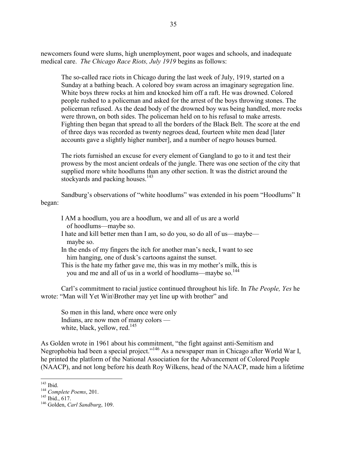newcomers found were slums, high unemployment, poor wages and schools, and inadequate medical care. *The Chicago Race Riots, July 1919* begins as follows:

The so-called race riots in Chicago during the last week of July, 1919, started on a Sunday at a bathing beach. A colored boy swam across an imaginary segregation line. White boys threw rocks at him and knocked him off a raft. He was drowned. Colored people rushed to a policeman and asked for the arrest of the boys throwing stones. The policeman refused. As the dead body of the drowned boy was being handled, more rocks were thrown, on both sides. The policeman held on to his refusal to make arrests. Fighting then began that spread to all the borders of the Black Belt. The score at the end of three days was recorded as twenty negroes dead, fourteen white men dead [later accounts gave a slightly higher number], and a number of negro houses burned.

The riots furnished an excuse for every element of Gangland to go to it and test their prowess by the most ancient ordeals of the jungle. There was one section of the city that supplied more white hoodlums than any other section. It was the district around the stockyards and packing houses.<sup>143</sup>

Sandburg's observations of "white hoodlums" was extended in his poem "Hoodlums" It began:

- I AM a hoodlum, you are a hoodlum, we and all of us are a world of hoodlums—maybe so.
- I hate and kill better men than I am, so do you, so do all of us—maybe maybe so.
- In the ends of my fingers the itch for another man's neck, I want to see him hanging, one of dusk's cartoons against the sunset.
- This is the hate my father gave me, this was in my mother's milk, this is you and me and all of us in a world of hoodlums—maybe so.<sup>144</sup>

Carl's commitment to racial justice continued throughout his life. In *The People, Yes* he wrote: "Man will Yet Win\Brother may yet line up with brother" and

So men in this land, where once were only Indians, are now men of many colors white, black, yellow, red. $145$ 

As Golden wrote in 1961 about his commitment, "the fight against anti-Semitism and Negrophobia had been a special project."<sup>146</sup> As a newspaper man in Chicago after World War I, he printed the platform of the National Association for the Advancement of Colored People (NAACP), and not long before his death Roy Wilkens, head of the NAACP, made him a lifetime

 $143$  Ibid.

<sup>143</sup> Ibid. 144 *Complete Poems*, 201. 145 Ibid., 617. 146 Golden, *Carl Sandburg*, 109.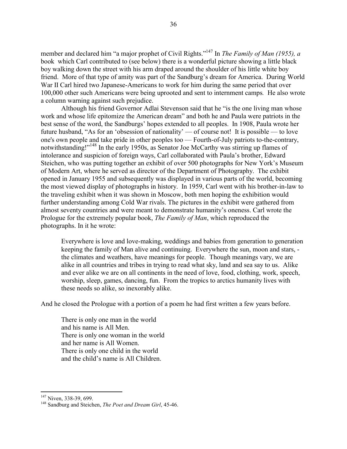member and declared him "a major prophet of Civil Rights."147 In *The Family of Man (1955), a*  bookwhich Carl contributed to (see below) there is a wonderful picture showing a little black boy walking down the street with his arm draped around the shoulder of his little white boy friend. More of that type of amity was part of the Sandburg's dream for America. During World War II Carl hired two Japanese-Americans to work for him during the same period that over 100,000 other such Americans were being uprooted and sent to internment camps*.* He also wrote a column warning against such prejudice.

Although his friend Governor Adlai Stevenson said that he "is the one living man whose work and whose life epitomize the American dream" and both he and Paula were patriots in the best sense of the word, the Sandburgs' hopes extended to all peoples. In 1908, Paula wrote her future husband, "As for an 'obsession of nationality' — of course not! It is possible — to love one's own people and take pride in other peoples too — Fourth-of-July patriots to-the-contrary, notwithstanding!"<sup>148</sup> In the early 1950s, as Senator Joe McCarthy was stirring up flames of intolerance and suspicion of foreign ways, Carl collaborated with Paula's brother, Edward Steichen, who was putting together an exhibit of over 500 photographs for New York's Museum of Modern Art, where he served as director of the Department of Photography. The exhibit opened in January 1955 and subsequently was displayed in various parts of the world, becoming the most viewed display of photographs in history. In 1959, Carl went with his brother-in-law to the traveling exhibit when it was shown in Moscow, both men hoping the exhibition would further understanding among Cold War rivals. The pictures in the exhibit were gathered from almost seventy countries and were meant to demonstrate humanity's oneness. Carl wrote the Prologue for the extremely popular book, *The Family of Man*, which reproduced the photographs. In it he wrote:

Everywhere is love and love-making, weddings and babies from generation to generation keeping the family of Man alive and continuing. Everywhere the sun, moon and stars, the climates and weathers, have meanings for people. Though meanings vary, we are alike in all countries and tribes in trying to read what sky, land and sea say to us. Alike and ever alike we are on all continents in the need of love, food, clothing, work, speech, worship, sleep, games, dancing, fun. From the tropics to arctics humanity lives with these needs so alike, so inexorably alike.

And he closed the Prologue with a portion of a poem he had first written a few years before.

There is only one man in the world and his name is All Men. There is only one woman in the world and her name is All Women. There is only one child in the world and the child's name is All Children.

 $147$  Niven, 338-39, 699.

<sup>&</sup>lt;sup>148</sup> Sandburg and Steichen, *The Poet and Dream Girl*, 45-46.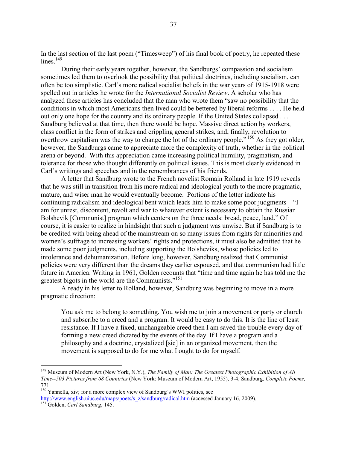In the last section of the last poem ("Timesweep") of his final book of poetry, he repeated these lines.<sup>149</sup>

During their early years together, however, the Sandburgs' compassion and socialism sometimes led them to overlook the possibility that political doctrines, including socialism, can often be too simplistic. Carl's more radical socialist beliefs in the war years of 1915-1918 were spelled out in articles he wrote for the *International Socialist Review*. A scholar who has analyzed these articles has concluded that the man who wrote them "saw no possibility that the conditions in which most Americans then lived could be bettered by liberal reforms . . . . He held out only one hope for the country and its ordinary people. If the United States collapsed . . . Sandburg believed at that time, then there would be hope. Massive direct action by workers, class conflict in the form of strikes and crippling general strikes, and, finally, revolution to overthrow capitalism was the way to change the lot of the ordinary people.<sup> $\frac{1}{10}$ </sup> As they got older, however, the Sandburgs came to appreciate more the complexity of truth, whether in the political arena or beyond. With this appreciation came increasing political humility, pragmatism, and tolerance for those who thought differently on political issues. This is most clearly evidenced in Carl's writings and speeches and in the remembrances of his friends.

A letter that Sandburg wrote to the French novelist Romain Rolland in late 1919 reveals that he was still in transition from his more radical and ideological youth to the more pragmatic, mature, and wiser man he would eventually become. Portions of the letter indicate his continuing radicalism and ideological bent which leads him to make some poor judgments—"I am for unrest, discontent, revolt and war to whatever extent is necessary to obtain the Russian Bolshevik [Communist] program which centers on the three needs: bread, peace, land." Of course, it is easier to realize in hindsight that such a judgment was unwise. But if Sandburg is to be credited with being ahead of the mainstream on so many issues from rights for minorities and women's suffrage to increasing workers' rights and protections, it must also be admitted that he made some poor judgments, including supporting the Bolsheviks, whose policies led to intolerance and dehumanization. Before long, however, Sandburg realized that Communist policies were very different than the dreams they earlier espoused, and that communism had little future in America. Writing in 1961, Golden recounts that "time and time again he has told me the greatest bigots in the world are the Communists."<sup>151</sup>

Already in his letter to Rolland, however, Sandburg was beginning to move in a more pragmatic direction:

You ask me to belong to something. You wish me to join a movement or party or church and subscribe to a creed and a program. It would be easy to do this. It is the line of least resistance. If I have a fixed, unchangeable creed then I am saved the trouble every day of forming a new creed dictated by the events of the day. If I have a program and a philosophy and a doctrine, crystalized [sic] in an organized movement, then the movement is supposed to do for me what I ought to do for myself.

<sup>149</sup> Museum of Modern Art (New York, N.Y.), *The Family of Man: The Greatest Photographic Exhibition of All Time--503 Pictures from 68 Countries* (New York: Museum of Modern Art, 1955), 3-4; Sandburg, *Complete Poems*, 771.

<sup>&</sup>lt;sup>150</sup> Yannella, xiv; for a more complex view of Sandburg's WWI politics, see http://www.english.uiuc.edu/maps/poets/s\_z/sandburg/radical.htm (accessed January 16, 2009). 151 Golden, *Carl Sandburg*, 145.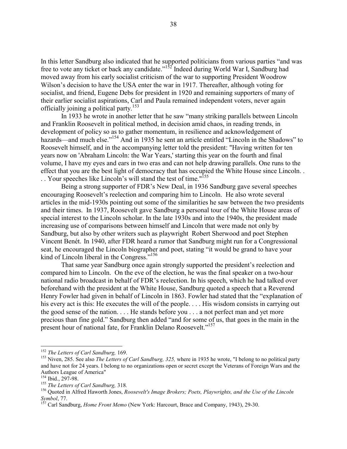In this letter Sandburg also indicated that he supported politicians from various parties "and was free to vote any ticket or back any candidate."152 Indeed during World War I, Sandburg had moved away from his early socialist criticism of the war to supporting President Woodrow Wilson's decision to have the USA enter the war in 1917. Thereafter, although voting for socialist, and friend, Eugene Debs for president in 1920 and remaining supporters of many of their earlier socialist aspirations, Carl and Paula remained independent voters, never again officially joining a political party.153

In 1933 he wrote in another letter that he saw "many striking parallels between Lincoln and Franklin Roosevelt in political method, in decision amid chaos, in reading trends, in development of policy so as to gather momentum, in resilience and acknowledgement of hazards—and much else."<sup>154</sup> And in 1935 he sent an article entitled "Lincoln in the Shadows" to Roosevelt himself, and in the accompanying letter told the president: "Having written for ten years now on 'Abraham Lincoln: the War Years,' starting this year on the fourth and final volume, I have my eyes and ears in two eras and can not help drawing parallels. One runs to the effect that you are the best light of democracy that has occupied the White House since Lincoln. . . . Your speeches like Lincoln's will stand the test of time."155

Being a strong supporter of FDR's New Deal, in 1936 Sandburg gave several speeches encouraging Roosevelt's reelection and comparing him to Lincoln. He also wrote several articles in the mid-1930s pointing out some of the similarities he saw between the two presidents and their times. In 1937, Roosevelt gave Sandburg a personal tour of the White House areas of special interest to the Lincoln scholar. In the late 1930s and into the 1940s, the president made increasing use of comparisons between himself and Lincoln that were made not only by Sandburg, but also by other writers such as playwright Robert Sherwood and poet Stephen Vincent Benét. In 1940, after FDR heard a rumor that Sandburg might run for a Congressional seat, he encouraged the Lincoln biographer and poet, stating "it would be grand to have your kind of Lincoln liberal in the Congress."<sup>156</sup>

That same year Sandburg once again strongly supported the president's reelection and compared him to Lincoln. On the eve of the election, he was the final speaker on a two-hour national radio broadcast in behalf of FDR's reelection. In his speech, which he had talked over beforehand with the president at the White House, Sandburg quoted a speech that a Reverend Henry Fowler had given in behalf of Lincoln in 1863. Fowler had stated that the "explanation of his every act is this: He executes the will of the people. . . . His wisdom consists in carrying out the good sense of the nation. . . . He stands before you . . . a not perfect man and yet more precious than fine gold." Sandburg then added "and for some of us, that goes in the main in the present hour of national fate, for Franklin Delano Roosevelt."<sup>157</sup>

<sup>&</sup>lt;sup>152</sup> The Letters of Carl Sandburg, 169.

<sup>&</sup>lt;sup>153</sup> Niven, 285. See also *The Letters of Carl Sandburg, 325*, where in 1935 he wrote, "I belong to no political party and have not for 24 years. I belong to no organizations open or secret except the Veterans of Foreign Wars and the Authors League of America"<br><sup>154</sup> Ibid., 297-98.

<sup>&</sup>lt;sup>155</sup> *The Letters of Carl Sandburg, 318. 2056. 2068. 2018 Duoted in Alfred Haworth Jones, <i>Roosevelt's Image Brokers; Poets, Playwrights, and the Use of the Lincoln Symbol, 77.* 

<sup>&</sup>lt;sup>157</sup> Carl Sandburg, *Home Front Memo* (New York: Harcourt, Brace and Company, 1943), 29-30.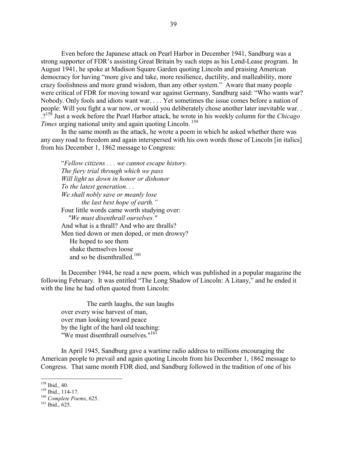Even before the Japanese attack on Pearl Harbor in December 1941, Sandburg was a strong supporter of FDR's assisting Great Britain by such steps as his Lend-Lease program. In August 1941, he spoke at Madison Square Garden quoting Lincoln and praising American democracy for having "more give and take, more resilience, ductility, and malleability, more crazy foolishness and more grand wisdom, than any other system." Aware that many people were critical of FDR for moving toward war against Germany, Sandburg said: "Who wants war? Nobody. Only fools and idiots want war. . . . Yet sometimes the issue comes before a nation of people: Will you fight a war now, or would you deliberately chose another later inevitable war. . .?158 Just a week before the Pearl Harbor attack, he wrote in his weekly column for the *Chicago Times* urging national unity and again quoting Lincoln.<sup>159</sup>

In the same month as the attack, he wrote a poem in which he asked whether there was any easy road to freedom and again interspersed with his own words those of Lincoln [in italics] from his December 1, 1862 message to Congress:

"*Fellow citizens . . . we cannot escape history. The fiery trial through which we pass Will light us down in honor or dishonor To the latest generation. . . We shall nobly save or meanly lose the last best hope of earth."*  Four little words came worth studying over: *"We must disenthrall ourselves."*  And what is a thrall? And who are thralls? Men tied down or men doped, or men drowsy? He hoped to see them shake themselves loose and so be disenthralled.<sup>160</sup>

In December 1944, he read a new poem, which was published in a popular magazine the following February. It was entitled "The Long Shadow of Lincoln: A Litany," and he ended it with the line he had often quoted from Lincoln:

 The earth laughs, the sun laughs over every wise harvest of man, over man looking toward peace by the light of the hard old teaching: "We must disenthrall ourselves."<sup>16T</sup>

In April 1945, Sandburg gave a wartime radio address to millions encouraging the American people to prevail and again quoting Lincoln from his December 1, 1862 message to Congress. That same month FDR died, and Sandburg followed in the tradition of one of his

<sup>&</sup>lt;sup>158</sup> Ibid., 40.<br><sup>159</sup> Ibid., 114-17.<br><sup>160</sup> *Complete Poems*, 625.<br><sup>161</sup> Ibid., 625.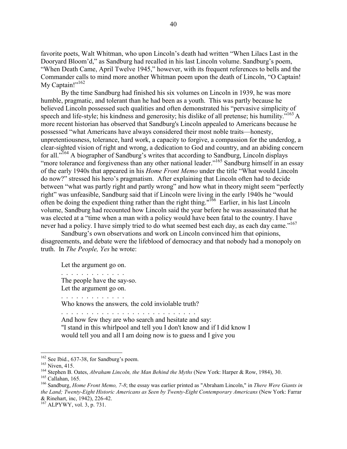favorite poets, Walt Whitman, who upon Lincoln's death had written "When Lilacs Last in the Dooryard Bloom'd," as Sandburg had recalled in his last Lincoln volume. Sandburg's poem, "When Death Came, April Twelve 1945," however, with its frequent references to bells and the Commander calls to mind more another Whitman poem upon the death of Lincoln, "O Captain! My Captain!" $162$ 

By the time Sandburg had finished his six volumes on Lincoln in 1939, he was more humble, pragmatic, and tolerant than he had been as a youth. This was partly because he believed Lincoln possessed such qualities and often demonstrated his "pervasive simplicity of speech and life-style; his kindness and generosity; his dislike of all pretense; his humility."<sup>163</sup> A more recent historian has observed that Sandburg's Lincoln appealed to Americans because he possessed "what Americans have always considered their most noble traits—honesty, unpretentiousness, tolerance, hard work, a capacity to forgive, a compassion for the underdog, a clear-sighted vision of right and wrong, a dedication to God and country, and an abiding concern for all."164 A biographer of Sandburg's writes that according to Sandburg, Lincoln displays "more tolerance and forgiveness than any other national leader."<sup>165</sup> Sandburg himself in an essay of the early 1940s that appeared in his *Home Front Memo* under the title "What would Lincoln do now?" stressed his hero's pragmatism. After explaining that Lincoln often had to decide between "what was partly right and partly wrong" and how what in theory might seem "perfectly right" was unfeasible, Sandburg said that if Lincoln were living in the early 1940s he "would often be doing the expedient thing rather than the right thing."<sup>166</sup> Earlier, in his last Lincoln volume, Sandburg had recounted how Lincoln said the year before he was assassinated that he was elected at a "time when a man with a policy would have been fatal to the country. I have never had a policy. I have simply tried to do what seemed best each day, as each day came."<sup>167</sup>

 Sandburg's own observations and work on Lincoln convinced him that opinions, disagreements, and debate were the lifeblood of democracy and that nobody had a monopoly on truth. In *The People, Yes* he wrote:

Let the argument go on.

. . . . . . . . . . . . .

. . . . . . . . . . . . . The people have the say-so. Let the argument go on.

Who knows the answers*,* the cold inviolable truth?

. . . . . . . . . . . . . . . . . . . . . . . . . . . And how few they are who search and hesitate and say: "I stand in this whirlpool and tell you I don't know and if I did know I would tell you and all I am doing now is to guess and I give you

<sup>&</sup>lt;sup>162</sup> See Ibid., 637-38, for Sandburg's poem.<br><sup>163</sup> Niven, 415.<br><sup>164</sup> Stephen B. Oates, *Abraham Lincoln, the Man Behind the Myths* (New York: Harper & Row, 1984), 30.<br><sup>164</sup> Callahan, 165.<br><sup>166</sup> Sandburg, *Home Front Memo* 

*the Land; Twenty-Eight Historic Americans as Seen by Twenty-Eight Contemporary Americans* (New York: Farrar & Rinehart, inc, 1942), 226-42.

 $167$  ALPYWY, vol. 3, p. 731.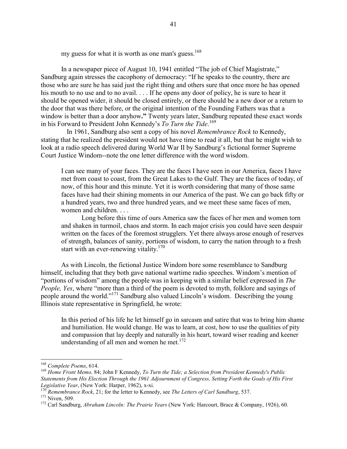my guess for what it is worth as one man's guess. $168$ 

In a newspaper piece of August 10, 1941 entitled "The job of Chief Magistrate," Sandburg again stresses the cacophony of democracy: "If he speaks to the country, there are those who are sure he has said just the right thing and others sure that once more he has opened his mouth to no use and to no avail. . . . If he opens any door of policy, he is sure to hear it should be opened wider, it should be closed entirely, or there should be a new door or a return to the door that was there before, or the original intention of the Founding Fathers was that a window is better than a door anyhow**."** Twenty years later, Sandburg repeated these exact words in his Forward to President John Kennedy's *To Turn the Tide*. 169

 In 1961, Sandburg also sent a copy of his novel *Remembrance Rock* to Kennedy, stating that he realized the president would not have time to read it all, but that he might wish to look at a radio speech delivered during World War II by Sandburg's fictional former Supreme Court Justice Windom--note the one letter difference with the word wisdom.

I can see many of your faces. They are the faces I have seen in our America, faces I have met from coast to coast, from the Great Lakes to the Gulf. They are the faces of today, of now, of this hour and this minute. Yet it is worth considering that many of those same faces have had their shining moments in our America of the past. We can go back fifty or a hundred years, two and three hundred years, and we meet these same faces of men, women and children. . . .

Long before this time of ours America saw the faces of her men and women torn and shaken in turmoil, chaos and storm. In each major crisis you could have seen despair written on the faces of the foremost strugglers. Yet there always arose enough of reserves of strength, balances of sanity, portions of wisdom, to carry the nation through to a fresh start with an ever-renewing vitality.<sup>170</sup>

As with Lincoln, the fictional Justice Windom bore some resemblance to Sandburg himself, including that they both gave national wartime radio speeches. Windom's mention of "portions of wisdom" among the people was in keeping with a similar belief expressed in *The People, Yes*, where "more than a third of the poem is devoted to myth, folklore and sayings of people around the world."171 Sandburg also valued Lincoln's wisdom. Describing the young Illinois state representative in Springfield, he wrote:

In this period of his life he let himself go in sarcasm and satire that was to bring him shame and humiliation. He would change. He was to learn, at cost, how to use the qualities of pity and compassion that lay deeply and naturally in his heart, toward wiser reading and keener understanding of all men and women he met.<sup>172</sup>

<sup>&</sup>lt;sup>168</sup> Complete Poems, 614.

<sup>&</sup>lt;sup>169</sup> *Home Front Memo, 84; John F Kennedy, To Turn the Tide; a Selection from President Kennedy's Public Statements from His Election Through the 1961 Adjournment of Congress, Setting Forth the Goals of His First*  Legislative Year, (New York: Harper, 1962), x-xi.<br><sup>170</sup> Remembrance Rock, 21; for the letter to Kennedy, see *The Letters of Carl Sandburg*, 537.<br><sup>171</sup> Niven, 509.<br><sup>172</sup> Carl Sandburg, *Abraham Lincoln: The Prairie Years*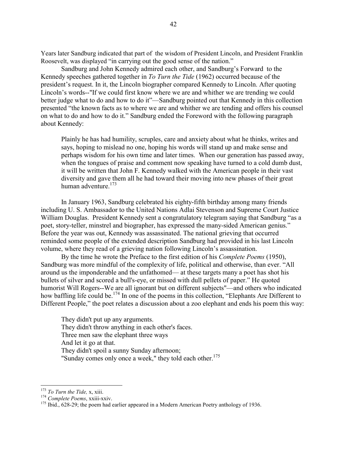Years later Sandburg indicated that part of the wisdom of President Lincoln, and President Franklin Roosevelt, was displayed "in carrying out the good sense of the nation."

Sandburg and John Kennedy admired each other, and Sandburg's Forward to the Kennedy speeches gathered together in *To Turn the Tide* (1962) occurred because of the president's request. In it, the Lincoln biographer compared Kennedy to Lincoln. After quoting Lincoln's words--"If we could first know where we are and whither we are trending we could better judge what to do and how to do it"—Sandburg pointed out that Kennedy in this collection presented "the known facts as to where we are and whither we are tending and offers his counsel on what to do and how to do it." Sandburg ended the Foreword with the following paragraph about Kennedy:

Plainly he has had humility, scruples, care and anxiety about what he thinks, writes and says, hoping to mislead no one, hoping his words will stand up and make sense and perhaps wisdom for his own time and later times. When our generation has passed away, when the tongues of praise and comment now speaking have turned to a cold dumb dust, it will be written that John F. Kennedy walked with the American people in their vast diversity and gave them all he had toward their moving into new phases of their great human adventure.<sup>173</sup>

In January 1963, Sandburg celebrated his eighty-fifth birthday among many friends including U. S. Ambassador to the United Nations Adlai Stevenson and Supreme Court Justice William Douglas. President Kennedy sent a congratulatory telegram saying that Sandburg "as a poet, story-teller, minstrel and biographer, has expressed the many-sided American genius." Before the year was out, Kennedy was assassinated. The national grieving that occurred reminded some people of the extended description Sandburg had provided in his last Lincoln volume, where they read of a grieving nation following Lincoln's assassination.

By the time he wrote the Preface to the first edition of his *Complete Poems* (1950), Sandburg was more mindful of the complexity of life, political and otherwise, than ever. "All around us the imponderable and the unfathomed— at these targets many a poet has shot his bullets of silver and scored a bull's-eye, or missed with dull pellets of paper." He quoted humorist Will Rogers--We are all ignorant but on different subjects"—and others who indicated how baffling life could be.<sup>174</sup> In one of the poems in this collection, "Elephants Are Different to Different People," the poet relates a discussion about a zoo elephant and ends his poem this way:

They didn't put up any arguments. They didn't throw anything in each other's faces. Three men saw the elephant three ways And let it go at that. They didn't spoil a sunny Sunday afternoon; "Sunday comes only once a week," they told each other.<sup>175</sup>

<sup>&</sup>lt;sup>173</sup> *To Turn the Tide, x, xiii.*<br><sup>174</sup> *Complete Poems, xxiii-xxiv.* 175 Ibid., 628-29; the poem had earlier appeared in a Modern American Poetry anthology of 1936.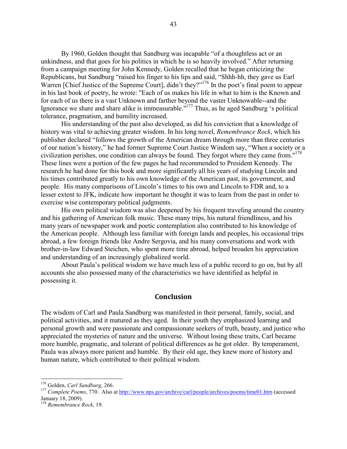By 1960, Golden thought that Sandburg was incapable "of a thoughtless act or an unkindness, and that goes for his politics in which he is so heavily involved." After returning from a campaign meeting for John Kennedy, Golden recalled that he began criticizing the Republicans, but Sandburg "raised his finger to his lips and said, "Shhh-hh, they gave us Earl Warren [Chief Justice of the Supreme Court], didn't they?"<sup>176</sup> In the poet's final poem to appear in his last book of poetry, he wrote: "Each of us makes his life in what to him is the Known and for each of us there is a vast Unknown and farther beyond the vaster Unknowable--and the Ignorance we share and share alike is immeasurable."177 Thus, as he aged Sandburg 's political tolerance, pragmatism, and humility increased.

His understanding of the past also developed, as did his conviction that a knowledge of history was vital to achieving greater wisdom. In his long novel, *Remembrance Rock*, which his publisher declared "follows the growth of the American dream through more than three centuries of our nation's history," he had former Supreme Court Justice Windom say, "When a society or a civilization perishes, one condition can always be found. They forgot where they came from."<sup>178</sup> These lines were a portion of the few pages he had recommended to President Kennedy. The research he had done for this book and more significantly all his years of studying Lincoln and his times contributed greatly to his own knowledge of the American past, its government, and people. His many comparisons of Lincoln's times to his own and Lincoln to FDR and, to a lesser extent to JFK, indicate how important he thought it was to learn from the past in order to exercise wise contemporary political judgments.

His own political wisdom was also deepened by his frequent traveling around the country and his gathering of American folk music. These many trips, his natural friendliness, and his many years of newspaper work and poetic contemplation also contributed to his knowledge of the American people. Although less familiar with foreign lands and peoples, his occasional trips abroad, a few foreign friends like Andre Sergovia, and his many conversations and work with brother-in-law Edward Steichen, who spent more time abroad, helped broaden his appreciation and understanding of an increasingly globalized world.

About Paula's political wisdom we have much less of a public record to go on, but by all accounts she also possessed many of the characteristics we have identified as helpful in possessing it.

### **Conclusion**

The wisdom of Carl and Paula Sandburg was manifested in their personal, family, social, and political activities, and it matured as they aged. In their youth they emphasized learning and personal growth and were passionate and compassionate seekers of truth, beauty, and justice who appreciated the mysteries of nature and the universe. Without losing these traits, Carl became more humble, pragmatic, and tolerant of political differences as he got older. By temperament, Paula was always more patient and humble. By their old age, they knew more of history and human nature, which contributed to their political wisdom.

<sup>&</sup>lt;sup>176</sup> Golden, Carl Sandburg, 266.

<sup>&</sup>lt;sup>177</sup> Complete Poems, 770. Also at http://www.nps.gov/archive/carl/people/archives/poems/time01.htm (accessed January 18, 2009).

<sup>178</sup> *Remembrance Rock*, 19.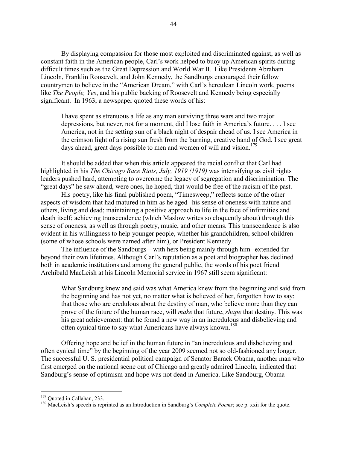By displaying compassion for those most exploited and discriminated against, as well as constant faith in the American people, Carl's work helped to buoy up American spirits during difficult times such as the Great Depression and World War II. Like Presidents Abraham Lincoln, Franklin Roosevelt, and John Kennedy, the Sandburgs encouraged their fellow countrymen to believe in the "American Dream," with Carl's herculean Lincoln work, poems like *The People, Yes*, and his public backing of Roosevelt and Kennedy being especially significant. In 1963, a newspaper quoted these words of his:

I have spent as strenuous a life as any man surviving three wars and two major depressions, but never, not for a moment, did I lose faith in America's future. . . . I see America, not in the setting sun of a black night of despair ahead of us. I see America in the crimson light of a rising sun fresh from the burning, creative hand of God. I see great days ahead, great days possible to men and women of will and vision.<sup>179</sup>

It should be added that when this article appeared the racial conflict that Carl had highlighted in his *The Chicago Race Riots, July, 1919 (1919)* was intensifying as civil rights leaders pushed hard, attempting to overcome the legacy of segregation and discrimination. The "great days" he saw ahead, were ones, he hoped, that would be free of the racism of the past.

 His poetry, like his final published poem, "Timesweep," reflects some of the other aspects of wisdom that had matured in him as he aged--his sense of oneness with nature and others, living and dead; maintaining a positive approach to life in the face of infirmities and death itself; achieving transcendence (which Maslow writes so eloquently about) through this sense of oneness, as well as through poetry, music, and other means. This transcendence is also evident in his willingness to help younger people, whether his grandchildren, school children (some of whose schools were named after him), or President Kennedy.

The influence of the Sandburgs—with hers being mainly through him--extended far beyond their own lifetimes. Although Carl's reputation as a poet and biographer has declined both in academic institutions and among the general public, the words of his poet friend Archibald MacLeish at his Lincoln Memorial service in 1967 still seem significant:

What Sandburg knew and said was what America knew from the beginning and said from the beginning and has not yet, no matter what is believed of her, forgotten how to say: that those who are credulous about the destiny of man, who believe more than they can prove of the future of the human race, will *make* that future, *shape* that destiny. This was his great achievement: that he found a new way in an incredulous and disbelieving and often cynical time to say what Americans have always known.<sup>180</sup>

Offering hope and belief in the human future in "an incredulous and disbelieving and often cynical time" by the beginning of the year 2009 seemed not so old-fashioned any longer. The successful U. S. presidential political campaign of Senator Barack Obama, another man who first emerged on the national scene out of Chicago and greatly admired Lincoln, indicated that Sandburg's sense of optimism and hope was not dead in America. Like Sandburg, Obama

<sup>&</sup>lt;sup>179</sup> Quoted in Callahan, 233.<br><sup>180</sup> MacLeish's speech is reprinted as an Introduction in Sandburg's *Complete Poems*; see p. xxii for the quote.